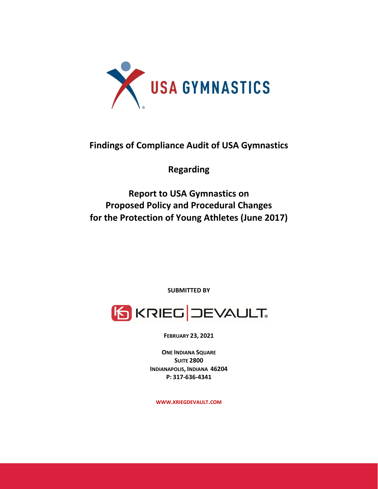

# **Findings of Compliance Audit of USA Gymnastics**

**Regarding**

**Report to USA Gymnastics on Proposed Policy and Procedural Changes for the Protection of Young Athletes (June 2017)**

**SUBMITTED BY**



**FEBRUARY 23, 2021**

**ONE INDIANA SQUARE SUITE 2800 INDIANAPOLIS, INDIANA 46204 P: 317‐636‐4341**

**WWW.KRIEGDEVAULT.COM**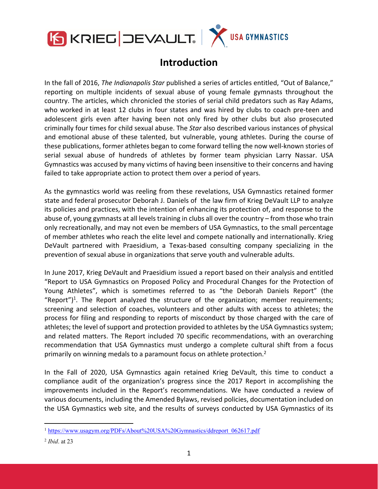

# **Introduction**

In the fall of 2016, *The Indianapolis Star* published a series of articles entitled, "Out of Balance," reporting on multiple incidents of sexual abuse of young female gymnasts throughout the country. The articles, which chronicled the stories of serial child predators such as Ray Adams, who worked in at least 12 clubs in four states and was hired by clubs to coach pre-teen and adolescent girls even after having been not only fired by other clubs but also prosecuted criminally four times for child sexual abuse. The *Star* also described various instances of physical and emotional abuse of these talented, but vulnerable, young athletes. During the course of these publications, former athletes began to come forward telling the now well‐known stories of serial sexual abuse of hundreds of athletes by former team physician Larry Nassar. USA Gymnastics was accused by many victims of having been insensitive to their concerns and having failed to take appropriate action to protect them over a period of years.

As the gymnastics world was reeling from these revelations, USA Gymnastics retained former state and federal prosecutor Deborah J. Daniels of the law firm of Krieg DeVault LLP to analyze its policies and practices, with the intention of enhancing its protection of, and response to the abuse of, young gymnasts at all levels training in clubs all over the country – from those who train only recreationally, and may not even be members of USA Gymnastics, to the small percentage of member athletes who reach the elite level and compete nationally and internationally. Krieg DeVault partnered with Praesidium, a Texas-based consulting company specializing in the prevention of sexual abuse in organizations that serve youth and vulnerable adults.

In June 2017, Krieg DeVault and Praesidium issued a report based on their analysis and entitled "Report to USA Gymnastics on Proposed Policy and Procedural Changes for the Protection of Young Athletes", which is sometimes referred to as "the Deborah Daniels Report" (the "Report")<sup>1</sup>. The Report analyzed the structure of the organization; member requirements; screening and selection of coaches, volunteers and other adults with access to athletes; the process for filing and responding to reports of misconduct by those charged with the care of athletes; the level of support and protection provided to athletes by the USA Gymnastics system; and related matters. The Report included 70 specific recommendations, with an overarching recommendation that USA Gymnastics must undergo a complete cultural shift from a focus primarily on winning medals to a paramount focus on athlete protection.<sup>2</sup>

In the Fall of 2020, USA Gymnastics again retained Krieg DeVault, this time to conduct a compliance audit of the organization's progress since the 2017 Report in accomplishing the improvements included in the Report's recommendations. We have conducted a review of various documents, including the Amended Bylaws, revised policies, documentation included on the USA Gymnastics web site, and the results of surveys conducted by USA Gymnastics of its

<sup>&</sup>lt;sup>1</sup> https://www.usagym.org/PDFs/About%20USA%20Gymnastics/ddreport\_062617.pdf

<sup>2</sup> *Ibid*. at 23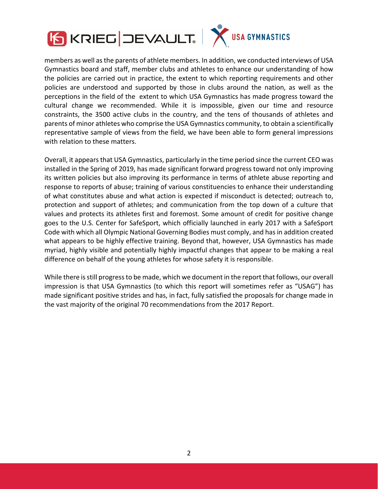

members as well asthe parents of athlete members. In addition, we conducted interviews of USA Gymnastics board and staff, member clubs and athletes to enhance our understanding of how the policies are carried out in practice, the extent to which reporting requirements and other policies are understood and supported by those in clubs around the nation, as well as the perceptions in the field of the extent to which USA Gymnastics has made progress toward the cultural change we recommended. While it is impossible, given our time and resource constraints, the 3500 active clubs in the country, and the tens of thousands of athletes and parents of minor athletes who comprise the USA Gymnastics community, to obtain a scientifically representative sample of views from the field, we have been able to form general impressions with relation to these matters.

Overall, it appears that USA Gymnastics, particularly in the time period since the current CEO was installed in the Spring of 2019, has made significant forward progress toward not only improving its written policies but also improving its performance in terms of athlete abuse reporting and response to reports of abuse; training of various constituencies to enhance their understanding of what constitutes abuse and what action is expected if misconduct is detected; outreach to, protection and support of athletes; and communication from the top down of a culture that values and protects its athletes first and foremost. Some amount of credit for positive change goes to the U.S. Center for SafeSport, which officially launched in early 2017 with a SafeSport Code with which all Olympic National Governing Bodies must comply, and has in addition created what appears to be highly effective training. Beyond that, however, USA Gymnastics has made myriad, highly visible and potentially highly impactful changes that appear to be making a real difference on behalf of the young athletes for whose safety it is responsible.

While there isstill progressto be made, which we document in the report that follows, our overall impression is that USA Gymnastics (to which this report will sometimes refer as "USAG") has made significant positive strides and has, in fact, fully satisfied the proposals for change made in the vast majority of the original 70 recommendations from the 2017 Report.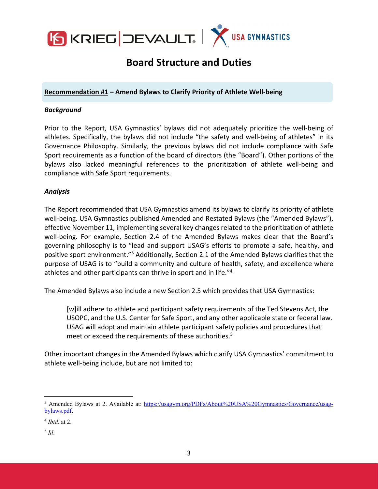

# **Board Structure and Duties**

**Recommendation #1 – Amend Bylaws to Clarify Priority of Athlete Well‐being**

#### *Background*

Prior to the Report, USA Gymnastics' bylaws did not adequately prioritize the well‐being of athletes. Specifically, the bylaws did not include "the safety and well-being of athletes" in its Governance Philosophy. Similarly, the previous bylaws did not include compliance with Safe Sport requirements as a function of the board of directors (the "Board"). Other portions of the bylaws also lacked meaningful references to the prioritization of athlete well‐being and compliance with Safe Sport requirements.

## *Analysis*

The Report recommended that USA Gymnastics amend its bylaws to clarify its priority of athlete well-being. USA Gymnastics published Amended and Restated Bylaws (the "Amended Bylaws"), effective November 11, implementing several key changes related to the prioritization of athlete well-being. For example, Section 2.4 of the Amended Bylaws makes clear that the Board's governing philosophy is to "lead and support USAG's efforts to promote a safe, healthy, and positive sport environment."3 Additionally, Section 2.1 of the Amended Bylaws clarifies that the purpose of USAG is to "build a community and culture of health, safety, and excellence where athletes and other participants can thrive in sport and in life."<sup>4</sup>

The Amended Bylaws also include a new Section 2.5 which provides that USA Gymnastics:

[w]ill adhere to athlete and participant safety requirements of the Ted Stevens Act, the USOPC, and the U.S. Center for Safe Sport, and any other applicable state or federal law. USAG will adopt and maintain athlete participant safety policies and procedures that meet or exceed the requirements of these authorities.<sup>5</sup>

Other important changes in the Amended Bylaws which clarify USA Gymnastics' commitment to athlete well‐being include, but are not limited to:

 $5$  *Id.* 

<sup>&</sup>lt;sup>3</sup> Amended Bylaws at 2. Available at: https://usagym.org/PDFs/About%20USA%20Gymnastics/Governance/usagbylaws.pdf.

<sup>4</sup> *Ibid*. at 2.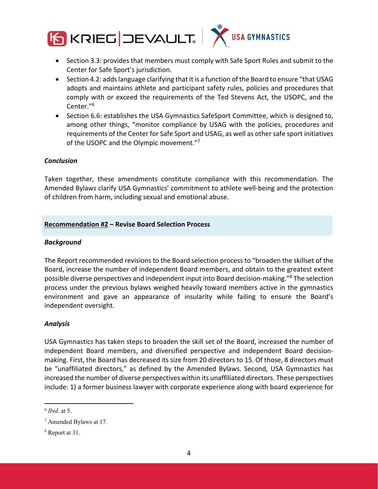

- Section 3.3: provides that members must comply with Safe Sport Rules and submit to the Center for Safe Sport's jurisdiction.
- Section 4.2: addslanguage clarifying that it is a function of the Board to ensure "that USAG adopts and maintains athlete and participant safety rules, policies and procedures that comply with or exceed the requirements of the Ted Stevens Act, the USOPC, and the Center."6
- Section 6.6: establishes the USA Gymnastics SafeSport Committee, which is designed to, among other things, "monitor compliance by USAG with the policies, procedures and requirements of the Center for Safe Sport and USAG, as well as other safe sport initiatives of the USOPC and the Olympic movement."7

## *Conclusion*

Taken together, these amendments constitute compliance with this recommendation. The Amended Bylaws clarify USA Gymnastics' commitment to athlete well‐being and the protection of children from harm, including sexual and emotional abuse.

## **Recommendation #2 – Revise Board Selection Process**

#### *Background*

The Report recommended revisions to the Board selection process to "broaden the skillset of the Board, increase the number of independent Board members, and obtain to the greatest extent possible diverse perspectives and independent input into Board decision-making."<sup>8</sup> The selection process under the previous bylaws weighed heavily toward members active in the gymnastics environment and gave an appearance of insularity while failing to ensure the Board's independent oversight.

#### *Analysis*

USA Gymnastics has taken steps to broaden the skill set of the Board, increased the number of independent Board members, and diversified perspective and independent Board decision‐ making. First, the Board has decreased its size from 20 directors to 15. Of those, 8 directors must be "unaffiliated directors," as defined by the Amended Bylaws. Second, USA Gymnastics has increased the number of diverse perspectives within its unaffiliated directors. These perspectives include: 1) a former business lawyer with corporate experience along with board experience for

<sup>6</sup> *Ibid*. at 5.

<sup>7</sup> Amended Bylaws at 17.

<sup>8</sup> Report at 31.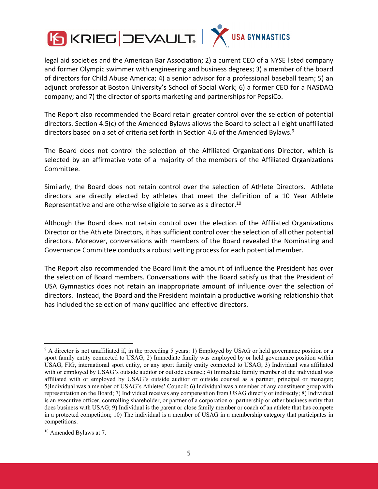

legal aid societies and the American Bar Association; 2) a current CEO of a NYSE listed company and former Olympic swimmer with engineering and business degrees; 3) a member of the board of directors for Child Abuse America; 4) a senior advisor for a professional baseball team; 5) an adjunct professor at Boston University's School of Social Work; 6) a former CEO for a NASDAQ company; and 7) the director of sports marketing and partnerships for PepsiCo.

The Report also recommended the Board retain greater control over the selection of potential directors. Section 4.5(c) of the Amended Bylaws allows the Board to select all eight unaffiliated directors based on a set of criteria set forth in Section 4.6 of the Amended Bylaws.<sup>9</sup>

The Board does not control the selection of the Affiliated Organizations Director, which is selected by an affirmative vote of a majority of the members of the Affiliated Organizations Committee.

Similarly, the Board does not retain control over the selection of Athlete Directors. Athlete directors are directly elected by athletes that meet the definition of a 10 Year Athlete Representative and are otherwise eligible to serve as a director.10

Although the Board does not retain control over the election of the Affiliated Organizations Director or the Athlete Directors, it has sufficient control over the selection of all other potential directors. Moreover, conversations with members of the Board revealed the Nominating and Governance Committee conducts a robust vetting process for each potential member.

The Report also recommended the Board limit the amount of influence the President has over the selection of Board members. Conversations with the Board satisfy us that the President of USA Gymnastics does not retain an inappropriate amount of influence over the selection of directors. Instead, the Board and the President maintain a productive working relationship that has included the selection of many qualified and effective directors.

<sup>&</sup>lt;sup>9</sup> A director is not unaffiliated if, in the preceding 5 years: 1) Employed by USAG or held governance position or a sport family entity connected to USAG; 2) Immediate family was employed by or held governance position within USAG, FIG, international sport entity, or any sport family entity connected to USAG; 3) Individual was affiliated with or employed by USAG's outside auditor or outside counsel; 4) Immediate family member of the individual was affiliated with or employed by USAG's outside auditor or outside counsel as a partner, principal or manager; 5)Individual was a member of USAG's Athletes' Council; 6) Individual was a member of any constituent group with representation on the Board; 7) Individual receives any compensation from USAG directly or indirectly; 8) Individual is an executive officer, controlling shareholder, or partner of a corporation or partnership or other business entity that does business with USAG; 9) Individual is the parent or close family member or coach of an athlete that has compete in a protected competition; 10) The individual is a member of USAG in a membership category that participates in competitions.

<sup>10</sup> Amended Bylaws at 7.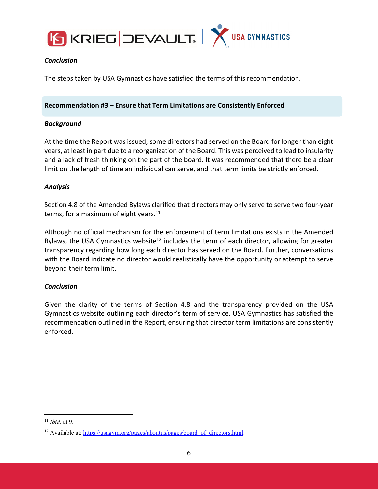



# *Conclusion*

The steps taken by USA Gymnastics have satisfied the terms of this recommendation.

# **Recommendation #3 – Ensure that Term Limitations are Consistently Enforced**

## *Background*

At the time the Report was issued, some directors had served on the Board for longer than eight years, at least in part due to a reorganization of the Board. This was perceived to lead to insularity and a lack of fresh thinking on the part of the board. It was recommended that there be a clear limit on the length of time an individual can serve, and that term limits be strictly enforced.

# *Analysis*

Section 4.8 of the Amended Bylaws clarified that directors may only serve to serve two four‐year terms, for a maximum of eight years. $11$ 

Although no official mechanism for the enforcement of term limitations exists in the Amended Bylaws, the USA Gymnastics website<sup>12</sup> includes the term of each director, allowing for greater transparency regarding how long each director has served on the Board. Further, conversations with the Board indicate no director would realistically have the opportunity or attempt to serve beyond their term limit.

# *Conclusion*

Given the clarity of the terms of Section 4.8 and the transparency provided on the USA Gymnastics website outlining each director's term of service, USA Gymnastics has satisfied the recommendation outlined in the Report, ensuring that director term limitations are consistently enforced.

<sup>11</sup> *Ibid*. at 9.

<sup>&</sup>lt;sup>12</sup> Available at: https://usagym.org/pages/aboutus/pages/board\_of\_directors.html.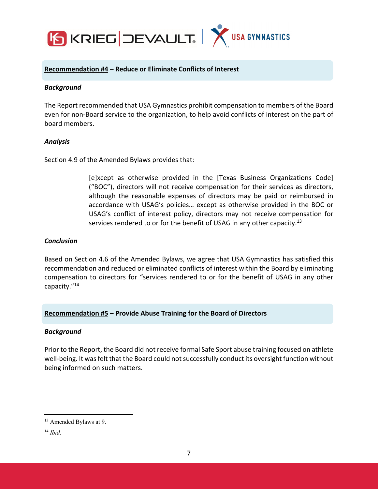

## **Recommendation #4 – Reduce or Eliminate Conflicts of Interest**

#### *Background*

The Report recommended that USA Gymnastics prohibit compensation to members of the Board even for non‐Board service to the organization, to help avoid conflicts of interest on the part of board members.

#### *Analysis*

Section 4.9 of the Amended Bylaws provides that:

[e]xcept as otherwise provided in the [Texas Business Organizations Code] ("BOC"), directors will not receive compensation for their services as directors, although the reasonable expenses of directors may be paid or reimbursed in accordance with USAG's policies… except as otherwise provided in the BOC or USAG's conflict of interest policy, directors may not receive compensation for services rendered to or for the benefit of USAG in any other capacity.<sup>13</sup>

## *Conclusion*

Based on Section 4.6 of the Amended Bylaws, we agree that USA Gymnastics has satisfied this recommendation and reduced or eliminated conflicts of interest within the Board by eliminating compensation to directors for "services rendered to or for the benefit of USAG in any other capacity."14

#### **Recommendation #5 – Provide Abuse Training for the Board of Directors**

#### *Background*

Prior to the Report, the Board did not receive formal Safe Sport abuse training focused on athlete well-being. It was felt that the Board could not successfully conduct its oversight function without being informed on such matters.

<sup>13</sup> Amended Bylaws at 9.

<sup>14</sup> *Ibid*.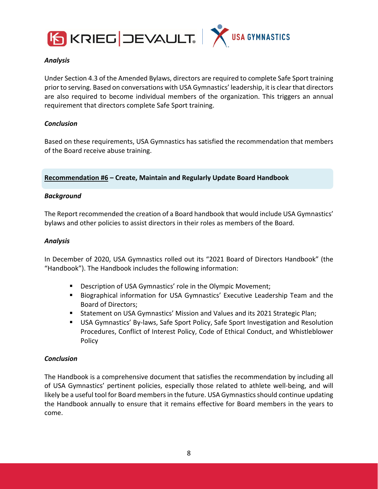



## *Analysis*

Under Section 4.3 of the Amended Bylaws, directors are required to complete Safe Sport training prior to serving. Based on conversations with USA Gymnastics' leadership, it is clear that directors are also required to become individual members of the organization. This triggers an annual requirement that directors complete Safe Sport training.

## *Conclusion*

Based on these requirements, USA Gymnastics has satisfied the recommendation that members of the Board receive abuse training.

## **Recommendation #6 – Create, Maintain and Regularly Update Board Handbook**

## *Background*

The Report recommended the creation of a Board handbook that would include USA Gymnastics' bylaws and other policies to assist directors in their roles as members of the Board.

#### *Analysis*

In December of 2020, USA Gymnastics rolled out its "2021 Board of Directors Handbook" (the "Handbook"). The Handbook includes the following information:

- Description of USA Gymnastics' role in the Olympic Movement;
- **Biographical information for USA Gymnastics' Executive Leadership Team and the** Board of Directors;
- Statement on USA Gymnastics' Mission and Values and its 2021 Strategic Plan;
- USA Gymnastics' By‐laws, Safe Sport Policy, Safe Sport Investigation and Resolution Procedures, Conflict of Interest Policy, Code of Ethical Conduct, and Whistleblower Policy

#### *Conclusion*

The Handbook is a comprehensive document that satisfies the recommendation by including all of USA Gymnastics' pertinent policies, especially those related to athlete well‐being, and will likely be a useful tool for Board members in the future. USA Gymnastics should continue updating the Handbook annually to ensure that it remains effective for Board members in the years to come.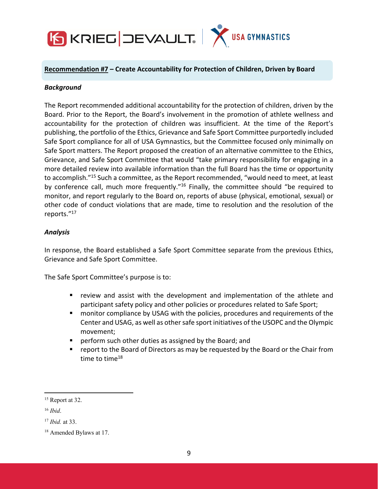

#### **Recommendation #7 – Create Accountability for Protection of Children, Driven by Board**

#### *Background*

The Report recommended additional accountability for the protection of children, driven by the Board. Prior to the Report, the Board's involvement in the promotion of athlete wellness and accountability for the protection of children was insufficient. At the time of the Report's publishing, the portfolio of the Ethics, Grievance and Safe Sport Committee purportedly included Safe Sport compliance for all of USA Gymnastics, but the Committee focused only minimally on Safe Sport matters. The Report proposed the creation of an alternative committee to the Ethics, Grievance, and Safe Sport Committee that would "take primary responsibility for engaging in a more detailed review into available information than the full Board has the time or opportunity to accomplish."15 Such a committee, as the Report recommended, "would need to meet, at least by conference call, much more frequently."16 Finally, the committee should "be required to monitor, and report regularly to the Board on, reports of abuse (physical, emotional, sexual) or other code of conduct violations that are made, time to resolution and the resolution of the reports."17

#### *Analysis*

In response, the Board established a Safe Sport Committee separate from the previous Ethics, Grievance and Safe Sport Committee.

The Safe Sport Committee's purpose is to:

- review and assist with the development and implementation of the athlete and participant safety policy and other policies or procedures related to Safe Sport;
- monitor compliance by USAG with the policies, procedures and requirements of the Center and USAG, as well as other safe sport initiatives of the USOPC and the Olympic movement;
- perform such other duties as assigned by the Board; and
- report to the Board of Directors as may be requested by the Board or the Chair from time to time $18$

<sup>&</sup>lt;sup>15</sup> Report at 32.

<sup>16</sup> *Ibid*.

<sup>17</sup> *Ibid.* at 33.

<sup>18</sup> Amended Bylaws at 17.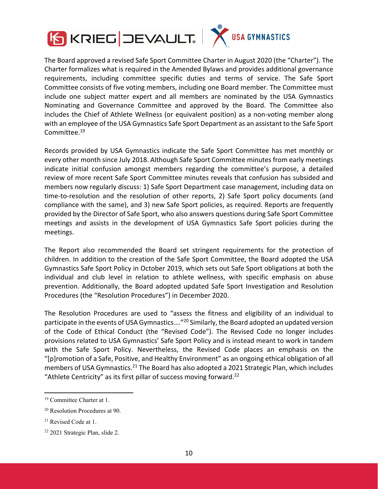



The Board approved a revised Safe Sport Committee Charter in August 2020 (the "Charter"). The Charter formalizes what is required in the Amended Bylaws and provides additional governance requirements, including committee specific duties and terms of service. The Safe Sport Committee consists of five voting members, including one Board member. The Committee must include one subject matter expert and all members are nominated by the USA Gymnastics Nominating and Governance Committee and approved by the Board. The Committee also includes the Chief of Athlete Wellness (or equivalent position) as a non-voting member along with an employee of the USA Gymnastics Safe Sport Department as an assistant to the Safe Sport Committee.<sup>19</sup>

Records provided by USA Gymnastics indicate the Safe Sport Committee has met monthly or every other month since July 2018. Although Safe Sport Committee minutes from early meetings indicate initial confusion amongst members regarding the committee's purpose, a detailed review of more recent Safe Sport Committee minutes reveals that confusion has subsided and members now regularly discuss: 1) Safe Sport Department case management, including data on time‐to‐resolution and the resolution of other reports, 2) Safe Sport policy documents (and compliance with the same), and 3) new Safe Sport policies, as required. Reports are frequently provided by the Director of Safe Sport, who also answers questions during Safe Sport Committee meetings and assists in the development of USA Gymnastics Safe Sport policies during the meetings.

The Report also recommended the Board set stringent requirements for the protection of children. In addition to the creation of the Safe Sport Committee, the Board adopted the USA Gymnastics Safe Sport Policy in October 2019, which sets out Safe Sport obligations at both the individual and club level in relation to athlete wellness, with specific emphasis on abuse prevention. Additionally, the Board adopted updated Safe Sport Investigation and Resolution Procedures (the "Resolution Procedures") in December 2020.

The Resolution Procedures are used to "assess the fitness and eligibility of an individual to participate in the events of USA Gymnastics...."<sup>20</sup> Similarly, the Board adopted an updated version of the Code of Ethical Conduct (the "Revised Code"). The Revised Code no longer includes provisions related to USA Gymnastics' Safe Sport Policy and is instead meant to work in tandem with the Safe Sport Policy. Nevertheless, the Revised Code places an emphasis on the "[p]romotion of a Safe, Positive, and Healthy Environment" as an ongoing ethical obligation of all members of USA Gymnastics.<sup>21</sup> The Board has also adopted a 2021 Strategic Plan, which includes "Athlete Centricity" as its first pillar of success moving forward. $^{22}$ 

<sup>&</sup>lt;sup>19</sup> Committee Charter at 1.

<sup>20</sup> Resolution Procedures at 90.

<sup>21</sup> Revised Code at 1.

<sup>22 2021</sup> Strategic Plan, slide 2.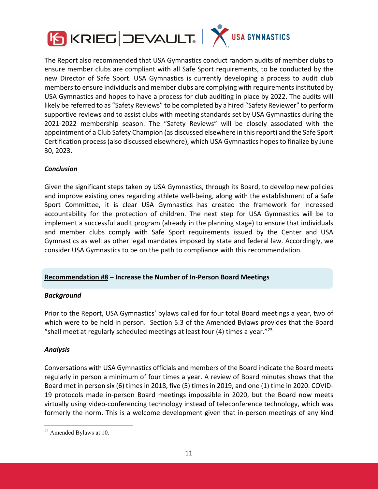



The Report also recommended that USA Gymnastics conduct random audits of member clubs to ensure member clubs are compliant with all Safe Sport requirements, to be conducted by the new Director of Safe Sport. USA Gymnastics is currently developing a process to audit club membersto ensure individuals and member clubs are complying with requirementsinstituted by USA Gymnastics and hopes to have a process for club auditing in place by 2022. The audits will likely be referred to as "Safety Reviews" to be completed by a hired "Safety Reviewer" to perform supportive reviews and to assist clubs with meeting standards set by USA Gymnastics during the 2021‐2022 membership season. The "Safety Reviews" will be closely associated with the appointment of a Club Safety Champion (as discussed elsewhere in this report) and the Safe Sport Certification process (also discussed elsewhere), which USA Gymnastics hopes to finalize by June 30, 2023.

# *Conclusion*

Given the significant steps taken by USA Gymnastics, through its Board, to develop new policies and improve existing ones regarding athlete well-being, along with the establishment of a Safe Sport Committee, it is clear USA Gymnastics has created the framework for increased accountability for the protection of children. The next step for USA Gymnastics will be to implement a successful audit program (already in the planning stage) to ensure that individuals and member clubs comply with Safe Sport requirements issued by the Center and USA Gymnastics as well as other legal mandates imposed by state and federal law. Accordingly, we consider USA Gymnastics to be on the path to compliance with this recommendation.

## **Recommendation #8 – Increase the Number of In‐Person Board Meetings**

## *Background*

Prior to the Report, USA Gymnastics' bylaws called for four total Board meetings a year, two of which were to be held in person. Section 5.3 of the Amended Bylaws provides that the Board "shall meet at regularly scheduled meetings at least four (4) times a year."<sup>23</sup>

## *Analysis*

Conversations with USA Gymnastics officials and members of the Board indicate the Board meets regularly in person a minimum of four times a year. A review of Board minutes shows that the Board met in person six (6) times in 2018, five (5) times in 2019, and one (1) time in 2020. COVID‐ 19 protocols made in‐person Board meetings impossible in 2020, but the Board now meets virtually using video‐conferencing technology instead of teleconference technology, which was formerly the norm. This is a welcome development given that in-person meetings of any kind

<sup>23</sup> Amended Bylaws at 10.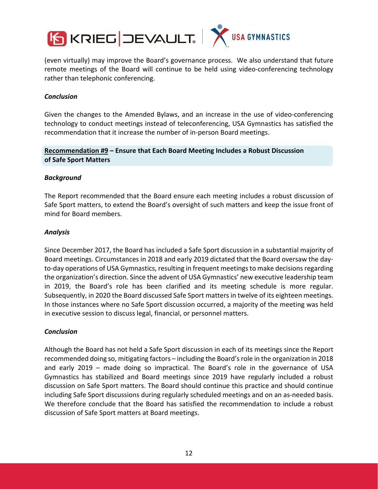

(even virtually) may improve the Board's governance process. We also understand that future remote meetings of the Board will continue to be held using video‐conferencing technology rather than telephonic conferencing.

## *Conclusion*

Given the changes to the Amended Bylaws, and an increase in the use of video‐conferencing technology to conduct meetings instead of teleconferencing, USA Gymnastics has satisfied the recommendation that it increase the number of in‐person Board meetings.

# **Recommendation #9 – Ensure that Each Board Meeting Includes a Robust Discussion of Safe Sport Matters**

## *Background*

The Report recommended that the Board ensure each meeting includes a robust discussion of Safe Sport matters, to extend the Board's oversight of such matters and keep the issue front of mind for Board members.

## *Analysis*

Since December 2017, the Board has included a Safe Sport discussion in a substantial majority of Board meetings. Circumstances in 2018 and early 2019 dictated that the Board oversaw the day‐ to-day operations of USA Gymnastics, resulting in frequent meetings to make decisions regarding the organization's direction. Since the advent of USA Gymnastics' new executive leadership team in 2019, the Board's role has been clarified and its meeting schedule is more regular. Subsequently, in 2020 the Board discussed Safe Sport matters in twelve of its eighteen meetings. In those instances where no Safe Sport discussion occurred, a majority of the meeting was held in executive session to discuss legal, financial, or personnel matters.

# *Conclusion*

Although the Board has not held a Safe Sport discussion in each of its meetings since the Report recommended doing so, mitigating factors – including the Board'srole in the organization in 2018 and early 2019 – made doing so impractical. The Board's role in the governance of USA Gymnastics has stabilized and Board meetings since 2019 have regularly included a robust discussion on Safe Sport matters. The Board should continue this practice and should continue including Safe Sport discussions during regularly scheduled meetings and on an as‐needed basis. We therefore conclude that the Board has satisfied the recommendation to include a robust discussion of Safe Sport matters at Board meetings.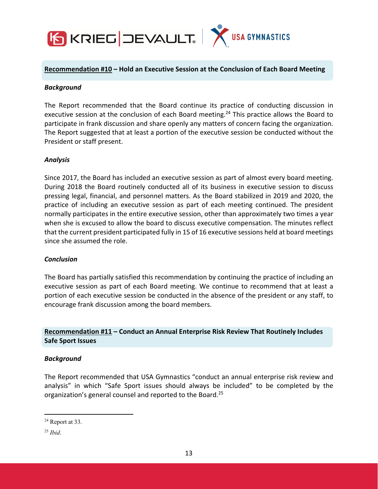

#### **Recommendation #10 – Hold an Executive Session at the Conclusion of Each Board Meeting**

#### *Background*

The Report recommended that the Board continue its practice of conducting discussion in executive session at the conclusion of each Board meeting.<sup>24</sup> This practice allows the Board to participate in frank discussion and share openly any matters of concern facing the organization. The Report suggested that at least a portion of the executive session be conducted without the President or staff present.

## *Analysis*

Since 2017, the Board has included an executive session as part of almost every board meeting. During 2018 the Board routinely conducted all of its business in executive session to discuss pressing legal, financial, and personnel matters. As the Board stabilized in 2019 and 2020, the practice of including an executive session as part of each meeting continued. The president normally participates in the entire executive session, other than approximately two times a year when she is excused to allow the board to discuss executive compensation. The minutes reflect that the current president participated fully in 15 of 16 executive sessions held at board meetings since she assumed the role.

#### *Conclusion*

The Board has partially satisfied this recommendation by continuing the practice of including an executive session as part of each Board meeting. We continue to recommend that at least a portion of each executive session be conducted in the absence of the president or any staff, to encourage frank discussion among the board members.

# **Recommendation #11 – Conduct an Annual Enterprise Risk Review That Routinely Includes Safe Sport Issues**

#### *Background*

The Report recommended that USA Gymnastics "conduct an annual enterprise risk review and analysis" in which "Safe Sport issues should always be included" to be completed by the organization's general counsel and reported to the Board.25

<sup>24</sup> Report at 33.

<sup>25</sup> *Ibid*.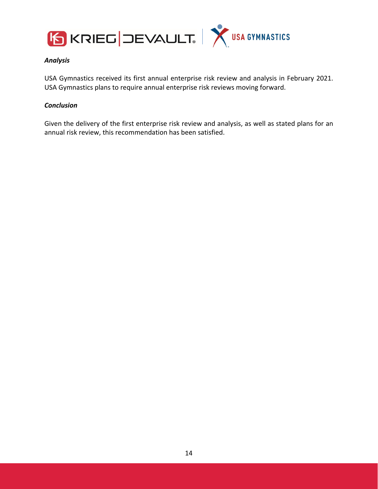



## *Analysis*

USA Gymnastics received its first annual enterprise risk review and analysis in February 2021. USA Gymnastics plans to require annual enterprise risk reviews moving forward.

## *Conclusion*

Given the delivery of the first enterprise risk review and analysis, as well as stated plans for an annual risk review, this recommendation has been satisfied.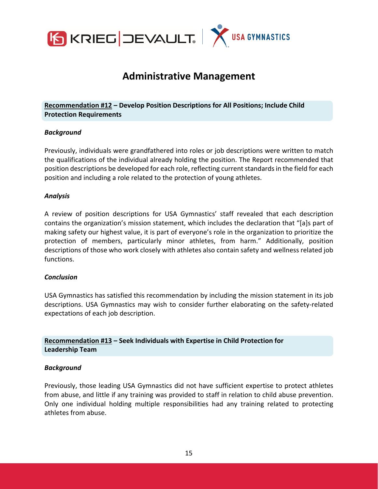

# **Administrative Management**

## **Recommendation #12 – Develop Position Descriptions for All Positions; Include Child Protection Requirements**

## *Background*

Previously, individuals were grandfathered into roles or job descriptions were written to match the qualifications of the individual already holding the position. The Report recommended that position descriptions be developed for each role, reflecting current standards in the field for each position and including a role related to the protection of young athletes.

#### *Analysis*

A review of position descriptions for USA Gymnastics' staff revealed that each description contains the organization's mission statement, which includes the declaration that "[a]s part of making safety our highest value, it is part of everyone's role in the organization to prioritize the protection of members, particularly minor athletes, from harm." Additionally, position descriptions of those who work closely with athletes also contain safety and wellness related job functions.

#### *Conclusion*

USA Gymnastics has satisfied this recommendation by including the mission statement in its job descriptions. USA Gymnastics may wish to consider further elaborating on the safety-related expectations of each job description.

**Recommendation #13 – Seek Individuals with Expertise in Child Protection for Leadership Team**

#### *Background*

Previously, those leading USA Gymnastics did not have sufficient expertise to protect athletes from abuse, and little if any training was provided to staff in relation to child abuse prevention. Only one individual holding multiple responsibilities had any training related to protecting athletes from abuse.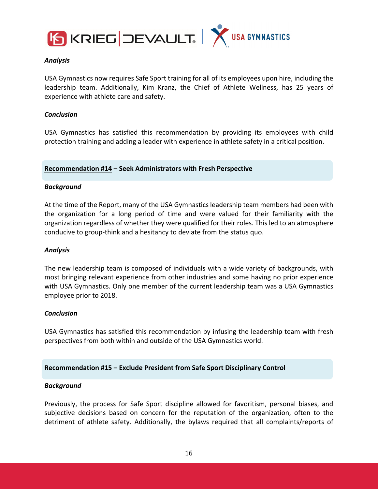



## *Analysis*

USA Gymnastics now requires Safe Sport training for all of its employees upon hire, including the leadership team. Additionally, Kim Kranz, the Chief of Athlete Wellness, has 25 years of experience with athlete care and safety.

## *Conclusion*

USA Gymnastics has satisfied this recommendation by providing its employees with child protection training and adding a leader with experience in athlete safety in a critical position.

#### **Recommendation #14 – Seek Administrators with Fresh Perspective**

## *Background*

At the time of the Report, many of the USA Gymnastics leadership team members had been with the organization for a long period of time and were valued for their familiarity with the organization regardless of whether they were qualified for their roles. This led to an atmosphere conducive to group‐think and a hesitancy to deviate from the status quo.

#### *Analysis*

The new leadership team is composed of individuals with a wide variety of backgrounds, with most bringing relevant experience from other industries and some having no prior experience with USA Gymnastics. Only one member of the current leadership team was a USA Gymnastics employee prior to 2018.

#### *Conclusion*

USA Gymnastics has satisfied this recommendation by infusing the leadership team with fresh perspectives from both within and outside of the USA Gymnastics world.

#### **Recommendation #15 – Exclude President from Safe Sport Disciplinary Control**

## *Background*

Previously, the process for Safe Sport discipline allowed for favoritism, personal biases, and subjective decisions based on concern for the reputation of the organization, often to the detriment of athlete safety. Additionally, the bylaws required that all complaints/reports of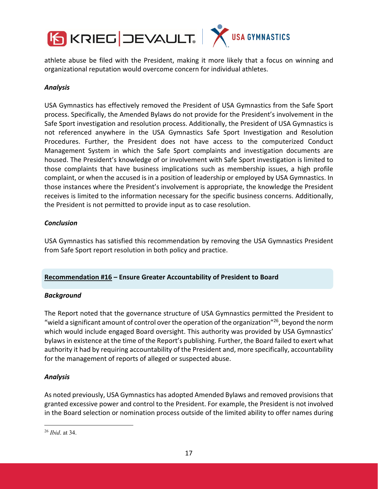

athlete abuse be filed with the President, making it more likely that a focus on winning and organizational reputation would overcome concern for individual athletes.

# *Analysis*

USA Gymnastics has effectively removed the President of USA Gymnastics from the Safe Sport process. Specifically, the Amended Bylaws do not provide for the President's involvement in the Safe Sport investigation and resolution process. Additionally, the President of USA Gymnastics is not referenced anywhere in the USA Gymnastics Safe Sport Investigation and Resolution Procedures. Further, the President does not have access to the computerized Conduct Management System in which the Safe Sport complaints and investigation documents are housed. The President's knowledge of or involvement with Safe Sport investigation is limited to those complaints that have business implications such as membership issues, a high profile complaint, or when the accused is in a position of leadership or employed by USA Gymnastics. In those instances where the President's involvement is appropriate, the knowledge the President receives is limited to the information necessary for the specific business concerns. Additionally, the President is not permitted to provide input as to case resolution.

# *Conclusion*

USA Gymnastics has satisfied this recommendation by removing the USA Gymnastics President from Safe Sport report resolution in both policy and practice.

# **Recommendation #16 – Ensure Greater Accountability of President to Board**

## *Background*

The Report noted that the governance structure of USA Gymnastics permitted the President to "wield a significant amount of control over the operation of the organization"<sup>26</sup>, beyond the norm which would include engaged Board oversight. This authority was provided by USA Gymnastics' bylaws in existence at the time of the Report's publishing. Further, the Board failed to exert what authority it had by requiring accountability of the President and, more specifically, accountability for the management of reports of alleged or suspected abuse.

## *Analysis*

As noted previously, USA Gymnastics has adopted Amended Bylaws and removed provisionsthat granted excessive power and control to the President. For example, the President is not involved in the Board selection or nomination process outside of the limited ability to offer names during

<sup>26</sup> *Ibid*. at 34.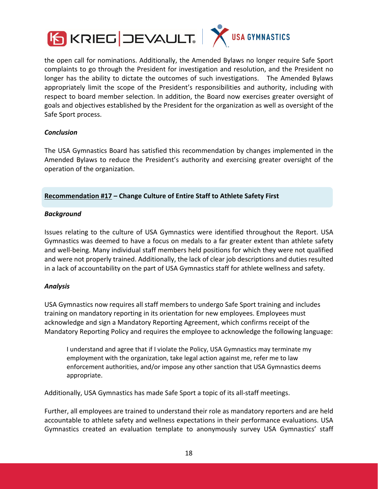

the open call for nominations. Additionally, the Amended Bylaws no longer require Safe Sport complaints to go through the President for investigation and resolution, and the President no longer has the ability to dictate the outcomes of such investigations. The Amended Bylaws appropriately limit the scope of the President's responsibilities and authority, including with respect to board member selection. In addition, the Board now exercises greater oversight of goals and objectives established by the President for the organization as well as oversight of the Safe Sport process.

## *Conclusion*

The USA Gymnastics Board has satisfied this recommendation by changes implemented in the Amended Bylaws to reduce the President's authority and exercising greater oversight of the operation of the organization.

## **Recommendation #17 – Change Culture of Entire Staff to Athlete Safety First**

## *Background*

Issues relating to the culture of USA Gymnastics were identified throughout the Report. USA Gymnastics was deemed to have a focus on medals to a far greater extent than athlete safety and well-being. Many individual staff members held positions for which they were not qualified and were not properly trained. Additionally, the lack of clear job descriptions and duties resulted in a lack of accountability on the part of USA Gymnastics staff for athlete wellness and safety.

## *Analysis*

USA Gymnastics now requires all staff members to undergo Safe Sport training and includes training on mandatory reporting in its orientation for new employees. Employees must acknowledge and sign a Mandatory Reporting Agreement, which confirms receipt of the Mandatory Reporting Policy and requires the employee to acknowledge the following language:

I understand and agree that if I violate the Policy, USA Gymnastics may terminate my employment with the organization, take legal action against me, refer me to law enforcement authorities, and/or impose any other sanction that USA Gymnastics deems appropriate.

Additionally, USA Gymnastics has made Safe Sport a topic of its all‐staff meetings.

Further, all employees are trained to understand their role as mandatory reporters and are held accountable to athlete safety and wellness expectations in their performance evaluations. USA Gymnastics created an evaluation template to anonymously survey USA Gymnastics' staff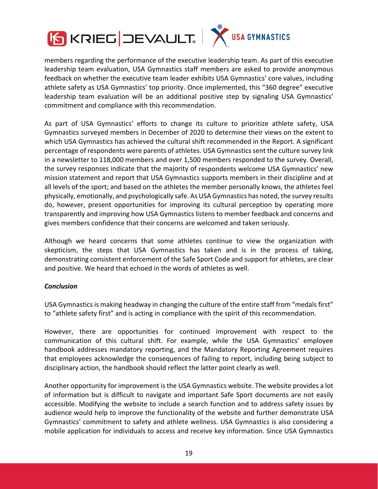



members regarding the performance of the executive leadership team. As part of this executive leadership team evaluation, USA Gymnastics staff members are asked to provide anonymous feedback on whether the executive team leader exhibits USA Gymnastics' core values, including athlete safety as USA Gymnastics' top priority. Once implemented, this "360 degree" executive leadership team evaluation will be an additional positive step by signaling USA Gymnastics' commitment and compliance with this recommendation.

As part of USA Gymnastics' efforts to change its culture to prioritize athlete safety, USA Gymnastics surveyed members in December of 2020 to determine their views on the extent to which USA Gymnastics has achieved the cultural shift recommended in the Report. A significant percentage of respondents were parents of athletes. USA Gymnasticssent the culture survey link in a newsletter to 118,000 members and over 1,500 members responded to the survey. Overall, the survey responses indicate that the majority of respondents welcome USA Gymnastics' new mission statement and report that USA Gymnastics supports members in their discipline and at all levels of the sport; and based on the athletes the member personally knows, the athletes feel physically, emotionally, and psychologically safe. As USA Gymnastics has noted, the survey results do, however, present opportunities for improving its cultural perception by operating more transparently and improving how USA Gymnastics listens to member feedback and concerns and gives members confidence that their concerns are welcomed and taken seriously.

Although we heard concerns that some athletes continue to view the organization with skepticism, the steps that USA Gymnastics has taken and is in the process of taking, demonstrating consistent enforcement of the Safe Sport Code and support for athletes, are clear and positive. We heard that echoed in the words of athletes as well.

# *Conclusion*

USA Gymnastics is making headway in changing the culture of the entire staff from "medals first" to "athlete safety first" and is acting in compliance with the spirit of this recommendation.

However, there are opportunities for continued improvement with respect to the communication of this cultural shift. For example, while the USA Gymnastics' employee handbook addresses mandatory reporting, and the Mandatory Reporting Agreement requires that employees acknowledge the consequences of failing to report, including being subject to disciplinary action, the handbook should reflect the latter point clearly as well.

Another opportunity for improvement isthe USA Gymnastics website. The website provides a lot of information but is difficult to navigate and important Safe Sport documents are not easily accessible. Modifying the website to include a search function and to address safety issues by audience would help to improve the functionality of the website and further demonstrate USA Gymnastics' commitment to safety and athlete wellness. USA Gymnastics is also considering a mobile application for individuals to access and receive key information. Since USA Gymnastics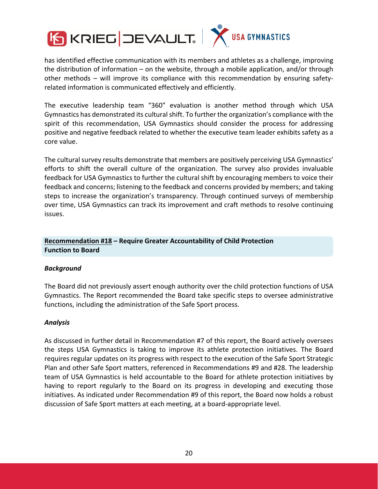

has identified effective communication with its members and athletes as a challenge, improving the distribution of information – on the website, through a mobile application, and/or through other methods – will improve its compliance with this recommendation by ensuring safety‐ related information is communicated effectively and efficiently.

The executive leadership team "360" evaluation is another method through which USA Gymnastics has demonstrated its culturalshift. To further the organization's compliance with the spirit of this recommendation, USA Gymnastics should consider the process for addressing positive and negative feedback related to whether the executive team leader exhibits safety as a core value.

The cultural survey results demonstrate that members are positively perceiving USA Gymnastics' efforts to shift the overall culture of the organization. The survey also provides invaluable feedback for USA Gymnastics to further the cultural shift by encouraging members to voice their feedback and concerns; listening to the feedback and concerns provided by members; and taking steps to increase the organization's transparency. Through continued surveys of membership over time, USA Gymnastics can track its improvement and craft methods to resolve continuing issues.

# **Recommendation #18 – Require Greater Accountability of Child Protection Function to Board**

## *Background*

The Board did not previously assert enough authority over the child protection functions of USA Gymnastics. The Report recommended the Board take specific steps to oversee administrative functions, including the administration of the Safe Sport process.

## *Analysis*

As discussed in further detail in Recommendation #7 of this report, the Board actively oversees the steps USA Gymnastics is taking to improve its athlete protection initiatives. The Board requires regular updates on its progress with respect to the execution of the Safe Sport Strategic Plan and other Safe Sport matters, referenced in Recommendations #9 and #28. The leadership team of USA Gymnastics is held accountable to the Board for athlete protection initiatives by having to report regularly to the Board on its progress in developing and executing those initiatives. As indicated under Recommendation #9 of this report, the Board now holds a robust discussion of Safe Sport matters at each meeting, at a board‐appropriate level.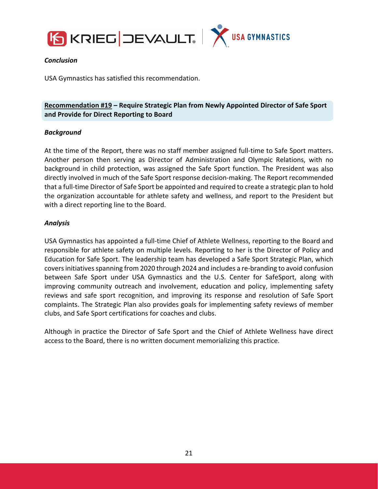



## *Conclusion*

USA Gymnastics has satisfied this recommendation.

**Recommendation #19 – Require Strategic Plan from Newly Appointed Director of Safe Sport and Provide for Direct Reporting to Board**

## *Background*

At the time of the Report, there was no staff member assigned full‐time to Safe Sport matters. Another person then serving as Director of Administration and Olympic Relations, with no background in child protection, was assigned the Safe Sport function. The President was also directly involved in much of the Safe Sport response decision‐making. The Report recommended that a full‐time Director of Safe Sport be appointed and required to create a strategic plan to hold the organization accountable for athlete safety and wellness, and report to the President but with a direct reporting line to the Board.

## *Analysis*

USA Gymnastics has appointed a full‐time Chief of Athlete Wellness, reporting to the Board and responsible for athlete safety on multiple levels. Reporting to her is the Director of Policy and Education for Safe Sport. The leadership team has developed a Safe Sport Strategic Plan, which covers initiatives spanning from 2020 through 2024 and includes a re-branding to avoid confusion between Safe Sport under USA Gymnastics and the U.S. Center for SafeSport, along with improving community outreach and involvement, education and policy, implementing safety reviews and safe sport recognition, and improving its response and resolution of Safe Sport complaints. The Strategic Plan also provides goals for implementing safety reviews of member clubs, and Safe Sport certifications for coaches and clubs.

Although in practice the Director of Safe Sport and the Chief of Athlete Wellness have direct access to the Board, there is no written document memorializing this practice.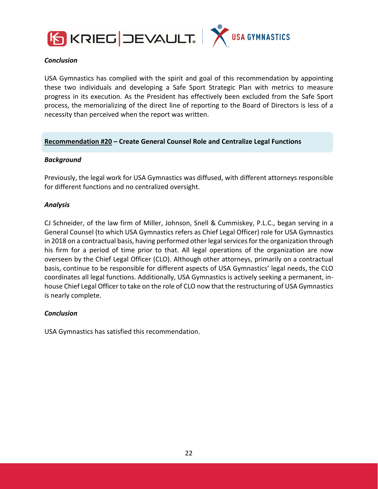



## *Conclusion*

USA Gymnastics has complied with the spirit and goal of this recommendation by appointing these two individuals and developing a Safe Sport Strategic Plan with metrics to measure progress in its execution. As the President has effectively been excluded from the Safe Sport process, the memorializing of the direct line of reporting to the Board of Directors is less of a necessity than perceived when the report was written.

## **Recommendation #20 – Create General Counsel Role and Centralize Legal Functions**

## *Background*

Previously, the legal work for USA Gymnastics was diffused, with different attorneys responsible for different functions and no centralized oversight.

## *Analysis*

CJ Schneider, of the law firm of Miller, Johnson, Snell & Cummiskey, P.L.C., began serving in a General Counsel (to which USA Gymnastics refers as Chief Legal Officer) role for USA Gymnastics in 2018 on a contractual basis, having performed other legal services for the organization through his firm for a period of time prior to that. All legal operations of the organization are now overseen by the Chief Legal Officer (CLO). Although other attorneys, primarily on a contractual basis, continue to be responsible for different aspects of USA Gymnastics' legal needs, the CLO coordinates all legal functions. Additionally, USA Gymnastics is actively seeking a permanent, in‐ house Chief Legal Officer to take on the role of CLO now that the restructuring of USA Gymnastics is nearly complete.

## *Conclusion*

USA Gymnastics has satisfied this recommendation.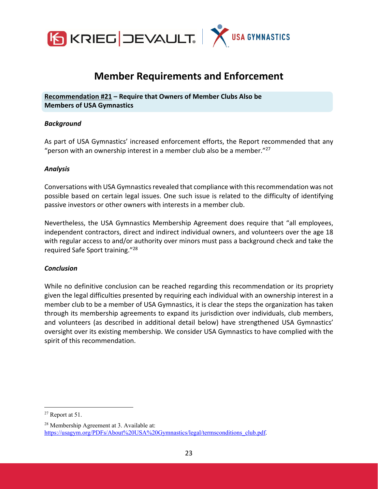

# **Member Requirements and Enforcement**

**Recommendation #21 – Require that Owners of Member Clubs Also be Members of USA Gymnastics**

## *Background*

As part of USA Gymnastics' increased enforcement efforts, the Report recommended that any "person with an ownership interest in a member club also be a member." $27$ 

## *Analysis*

Conversations with USA Gymnastics revealed that compliance with this recommendation was not possible based on certain legal issues. One such issue is related to the difficulty of identifying passive investors or other owners with interests in a member club.

Nevertheless, the USA Gymnastics Membership Agreement does require that "all employees, independent contractors, direct and indirect individual owners, and volunteers over the age 18 with regular access to and/or authority over minors must pass a background check and take the required Safe Sport training."28

## *Conclusion*

While no definitive conclusion can be reached regarding this recommendation or its propriety given the legal difficulties presented by requiring each individual with an ownership interest in a member club to be a member of USA Gymnastics, it is clear the steps the organization has taken through its membership agreements to expand its jurisdiction over individuals, club members, and volunteers (as described in additional detail below) have strengthened USA Gymnastics' oversight over its existing membership. We consider USA Gymnastics to have complied with the spirit of this recommendation.

<sup>27</sup> Report at 51.

<sup>28</sup> Membership Agreement at 3. Available at: https://usagym.org/PDFs/About%20USA%20Gymnastics/legal/termsconditions\_club.pdf.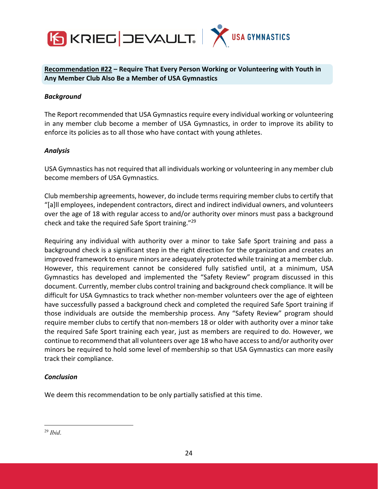

**Recommendation #22 – Require That Every Person Working or Volunteering with Youth in Any Member Club Also Be a Member of USA Gymnastics**

## *Background*

The Report recommended that USA Gymnastics require every individual working or volunteering in any member club become a member of USA Gymnastics, in order to improve its ability to enforce its policies as to all those who have contact with young athletes.

## *Analysis*

USA Gymnastics has not required that all individuals working or volunteering in any member club become members of USA Gymnastics.

Club membership agreements, however, do include termsrequiring member clubs to certify that "[a]ll employees, independent contractors, direct and indirect individual owners, and volunteers over the age of 18 with regular access to and/or authority over minors must pass a background check and take the required Safe Sport training."29

Requiring any individual with authority over a minor to take Safe Sport training and pass a background check is a significant step in the right direction for the organization and creates an improved framework to ensure minors are adequately protected while training at a member club. However, this requirement cannot be considered fully satisfied until, at a minimum, USA Gymnastics has developed and implemented the "Safety Review" program discussed in this document. Currently, member clubs control training and background check compliance. It will be difficult for USA Gymnastics to track whether non‐member volunteers over the age of eighteen have successfully passed a background check and completed the required Safe Sport training if those individuals are outside the membership process. Any "Safety Review" program should require member clubs to certify that non-members 18 or older with authority over a minor take the required Safe Sport training each year, just as members are required to do. However, we continue to recommend that all volunteers over age 18 who have accessto and/or authority over minors be required to hold some level of membership so that USA Gymnastics can more easily track their compliance.

## *Conclusion*

We deem this recommendation to be only partially satisfied at this time.

<sup>29</sup> *Ibid*.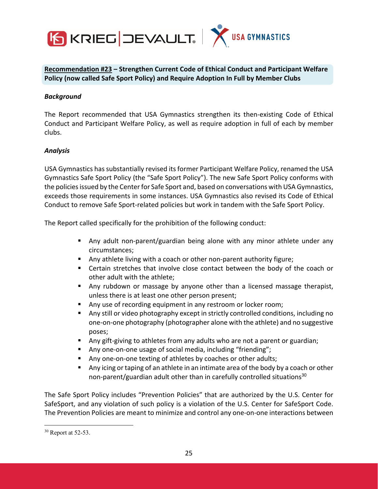



**Recommendation #23 – Strengthen Current Code of Ethical Conduct and Participant Welfare Policy (now called Safe Sport Policy) and Require Adoption In Full by Member Clubs**

## *Background*

The Report recommended that USA Gymnastics strengthen its then-existing Code of Ethical Conduct and Participant Welfare Policy, as well as require adoption in full of each by member clubs.

## *Analysis*

USA Gymnastics has substantially revised its former Participant Welfare Policy, renamed the USA Gymnastics Safe Sport Policy (the "Safe Sport Policy"). The new Safe Sport Policy conforms with the policies issued by the Center for Safe Sport and, based on conversations with USA Gymnastics, exceeds those requirements in some instances. USA Gymnastics also revised its Code of Ethical Conduct to remove Safe Sport‐related policies but work in tandem with the Safe Sport Policy.

The Report called specifically for the prohibition of the following conduct:

- Any adult non-parent/guardian being alone with any minor athlete under any circumstances;
- Any athlete living with a coach or other non-parent authority figure;
- Certain stretches that involve close contact between the body of the coach or other adult with the athlete;
- Any rubdown or massage by anyone other than a licensed massage therapist, unless there is at least one other person present;
- Any use of recording equipment in any restroom or locker room;
- Any still or video photography except in strictly controlled conditions, including no one‐on‐one photography (photographer alone with the athlete) and no suggestive poses;
- Any gift-giving to athletes from any adults who are not a parent or guardian;
- Any one-on-one usage of social media, including "friending";
- Any one-on-one texting of athletes by coaches or other adults;
- Any icing or taping of an athlete in an intimate area of the body by a coach or other non-parent/guardian adult other than in carefully controlled situations<sup>30</sup>

The Safe Sport Policy includes "Prevention Policies" that are authorized by the U.S. Center for SafeSport, and any violation of such policy is a violation of the U.S. Center for SafeSport Code. The Prevention Policies are meant to minimize and control any one‐on‐one interactions between

<sup>30</sup> Report at 52-53.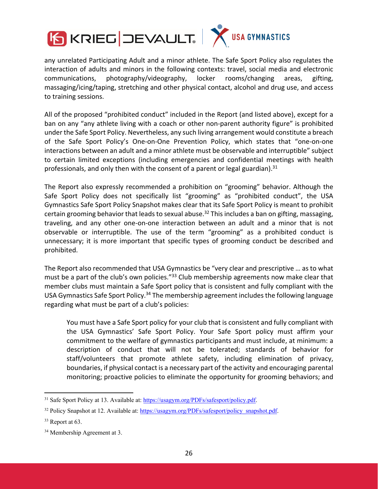



any unrelated Participating Adult and a minor athlete. The Safe Sport Policy also regulates the interaction of adults and minors in the following contexts: travel, social media and electronic communications, photography/videography, locker rooms/changing areas, gifting, massaging/icing/taping, stretching and other physical contact, alcohol and drug use, and access to training sessions.

All of the proposed "prohibited conduct" included in the Report (and listed above), except for a ban on any "any athlete living with a coach or other non-parent authority figure" is prohibited under the Safe Sport Policy. Nevertheless, any such living arrangement would constitute a breach of the Safe Sport Policy's One‐on‐One Prevention Policy, which states that "one‐on‐one interactions between an adult and a minor athlete must be observable and interruptible" subject to certain limited exceptions (including emergencies and confidential meetings with health professionals, and only then with the consent of a parent or legal guardian).<sup>31</sup>

The Report also expressly recommended a prohibition on "grooming" behavior. Although the Safe Sport Policy does not specifically list "grooming" as "prohibited conduct", the USA Gymnastics Safe Sport Policy Snapshot makes clear that its Safe Sport Policy is meant to prohibit certain grooming behavior that leads to sexual abuse.<sup>32</sup> This includes a ban on gifting, massaging, traveling, and any other one‐on‐one interaction between an adult and a minor that is not observable or interruptible. The use of the term "grooming" as a prohibited conduct is unnecessary; it is more important that specific types of grooming conduct be described and prohibited.

The Report also recommended that USA Gymnastics be "very clear and prescriptive … as to what must be a part of the club's own policies."<sup>33</sup> Club membership agreements now make clear that member clubs must maintain a Safe Sport policy that is consistent and fully compliant with the USA Gymnastics Safe Sport Policy.<sup>34</sup> The membership agreement includes the following language regarding what must be part of a club's policies:

You must have a Safe Sport policy for your club that is consistent and fully compliant with the USA Gymnastics' Safe Sport Policy. Your Safe Sport policy must affirm your commitment to the welfare of gymnastics participants and must include, at minimum: a description of conduct that will not be tolerated; standards of behavior for staff/volunteers that promote athlete safety, including elimination of privacy, boundaries, if physical contact is a necessary part of the activity and encouraging parental monitoring; proactive policies to eliminate the opportunity for grooming behaviors; and

<sup>&</sup>lt;sup>31</sup> Safe Sport Policy at 13. Available at: https://usagym.org/PDFs/safesport/policy.pdf.

<sup>&</sup>lt;sup>32</sup> Policy Snapshot at 12. Available at: https://usagym.org/PDFs/safesport/policy\_snapshot.pdf.

<sup>&</sup>lt;sup>33</sup> Report at 63.

<sup>34</sup> Membership Agreement at 3.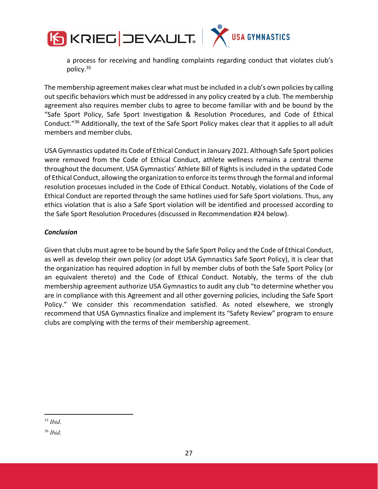

a process for receiving and handling complaints regarding conduct that violates club's policy.35

The membership agreement makes clear what must be included in a club's own policies by calling out specific behaviors which must be addressed in any policy created by a club. The membership agreement also requires member clubs to agree to become familiar with and be bound by the "Safe Sport Policy, Safe Sport Investigation & Resolution Procedures, and Code of Ethical Conduct."36 Additionally, the text of the Safe Sport Policy makes clear that it applies to all adult members and member clubs.

USA Gymnastics updated its Code of Ethical Conduct in January 2021. Although Safe Sport policies were removed from the Code of Ethical Conduct, athlete wellness remains a central theme throughout the document. USA Gymnastics' Athlete Bill of Rights is included in the updated Code of Ethical Conduct, allowing the organization to enforce its terms through the formal and informal resolution processes included in the Code of Ethical Conduct. Notably, violations of the Code of Ethical Conduct are reported through the same hotlines used for Safe Sport violations. Thus, any ethics violation that is also a Safe Sport violation will be identified and processed according to the Safe Sport Resolution Procedures (discussed in Recommendation #24 below).

## *Conclusion*

Given that clubs must agree to be bound by the Safe Sport Policy and the Code of Ethical Conduct, as well as develop their own policy (or adopt USA Gymnastics Safe Sport Policy), it is clear that the organization has required adoption in full by member clubs of both the Safe Sport Policy (or an equivalent thereto) and the Code of Ethical Conduct. Notably, the terms of the club membership agreement authorize USA Gymnastics to audit any club "to determine whether you are in compliance with this Agreement and all other governing policies, including the Safe Sport Policy." We consider this recommendation satisfied. As noted elsewhere, we strongly recommend that USA Gymnastics finalize and implement its "Safety Review" program to ensure clubs are complying with the terms of their membership agreement.

<sup>35</sup> *Ibid*.

<sup>36</sup> *Ibid*.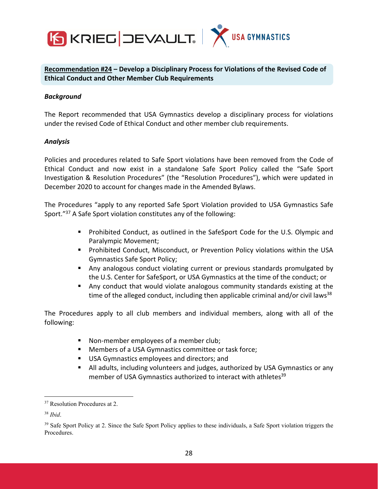

**Recommendation #24 – Develop a Disciplinary Process for Violations of the Revised Code of Ethical Conduct and Other Member Club Requirements**

## *Background*

The Report recommended that USA Gymnastics develop a disciplinary process for violations under the revised Code of Ethical Conduct and other member club requirements.

## *Analysis*

Policies and procedures related to Safe Sport violations have been removed from the Code of Ethical Conduct and now exist in a standalone Safe Sport Policy called the "Safe Sport Investigation & Resolution Procedures" (the "Resolution Procedures"), which were updated in December 2020 to account for changes made in the Amended Bylaws.

The Procedures "apply to any reported Safe Sport Violation provided to USA Gymnastics Safe Sport."37 A Safe Sport violation constitutes any of the following:

- Prohibited Conduct, as outlined in the SafeSport Code for the U.S. Olympic and Paralympic Movement;
- **Prohibited Conduct, Misconduct, or Prevention Policy violations within the USA** Gymnastics Safe Sport Policy;
- Any analogous conduct violating current or previous standards promulgated by the U.S. Center for SafeSport, or USA Gymnastics at the time of the conduct; or
- Any conduct that would violate analogous community standards existing at the time of the alleged conduct, including then applicable criminal and/or civil laws<sup>38</sup>

The Procedures apply to all club members and individual members, along with all of the following:

- Non-member employees of a member club;
- **Members of a USA Gymnastics committee or task force;**
- USA Gymnastics employees and directors; and
- All adults, including volunteers and judges, authorized by USA Gymnastics or any member of USA Gymnastics authorized to interact with athletes<sup>39</sup>

<sup>37</sup> Resolution Procedures at 2.

<sup>38</sup> *Ibid*.

<sup>&</sup>lt;sup>39</sup> Safe Sport Policy at 2. Since the Safe Sport Policy applies to these individuals, a Safe Sport violation triggers the Procedures.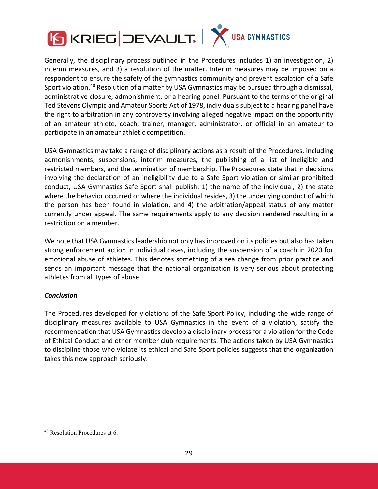



Generally, the disciplinary process outlined in the Procedures includes 1) an investigation, 2) interim measures, and 3) a resolution of the matter. Interim measures may be imposed on a respondent to ensure the safety of the gymnastics community and prevent escalation of a Safe Sport violation.40 Resolution of a matter by USA Gymnastics may be pursued through a dismissal, administrative closure, admonishment, or a hearing panel. Pursuant to the terms of the original Ted Stevens Olympic and Amateur Sports Act of 1978, individuals subject to a hearing panel have the right to arbitration in any controversy involving alleged negative impact on the opportunity of an amateur athlete, coach, trainer, manager, administrator, or official in an amateur to participate in an amateur athletic competition.

USA Gymnastics may take a range of disciplinary actions as a result of the Procedures, including admonishments, suspensions, interim measures, the publishing of a list of ineligible and restricted members, and the termination of membership. The Procedures state that in decisions involving the declaration of an ineligibility due to a Safe Sport violation or similar prohibited conduct, USA Gymnastics Safe Sport shall publish: 1) the name of the individual, 2) the state where the behavior occurred or where the individual resides, 3) the underlying conduct of which the person has been found in violation, and 4) the arbitration/appeal status of any matter currently under appeal. The same requirements apply to any decision rendered resulting in a restriction on a member.

We note that USA Gymnastics leadership not only has improved on its policies but also has taken strong enforcement action in individual cases, including the suspension of a coach in 2020 for emotional abuse of athletes. This denotes something of a sea change from prior practice and sends an important message that the national organization is very serious about protecting athletes from all types of abuse.

## *Conclusion*

The Procedures developed for violations of the Safe Sport Policy, including the wide range of disciplinary measures available to USA Gymnastics in the event of a violation, satisfy the recommendation that USA Gymnastics develop a disciplinary process for a violation for the Code of Ethical Conduct and other member club requirements. The actions taken by USA Gymnastics to discipline those who violate its ethical and Safe Sport policies suggests that the organization takes this new approach seriously.

<sup>40</sup> Resolution Procedures at 6.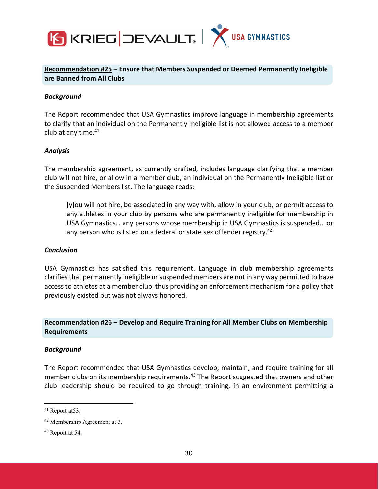

**Recommendation #25 – Ensure that Members Suspended or Deemed Permanently Ineligible are Banned from All Clubs**

#### *Background*

The Report recommended that USA Gymnastics improve language in membership agreements to clarify that an individual on the Permanently Ineligible list is not allowed access to a member club at any time.<sup>41</sup>

#### *Analysis*

The membership agreement, as currently drafted, includes language clarifying that a member club will not hire, or allow in a member club, an individual on the Permanently Ineligible list or the Suspended Members list. The language reads:

[y]ou will not hire, be associated in any way with, allow in your club, or permit access to any athletes in your club by persons who are permanently ineligible for membership in USA Gymnastics… any persons whose membership in USA Gymnastics is suspended… or any person who is listed on a federal or state sex offender registry.<sup>42</sup>

#### *Conclusion*

USA Gymnastics has satisfied this requirement. Language in club membership agreements clarifies that permanently ineligible or suspended members are not in any way permitted to have access to athletes at a member club, thus providing an enforcement mechanism for a policy that previously existed but was not always honored.

## **Recommendation #26 – Develop and Require Training for All Member Clubs on Membership Requirements**

#### *Background*

The Report recommended that USA Gymnastics develop, maintain, and require training for all member clubs on its membership requirements.<sup>43</sup> The Report suggested that owners and other club leadership should be required to go through training, in an environment permitting a

<sup>41</sup> Report at53.

<sup>42</sup> Membership Agreement at 3.

<sup>43</sup> Report at 54.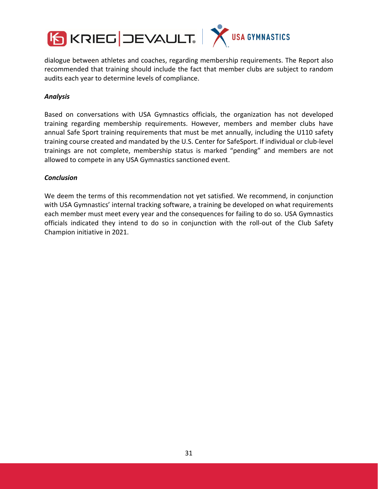

dialogue between athletes and coaches, regarding membership requirements. The Report also recommended that training should include the fact that member clubs are subject to random audits each year to determine levels of compliance.

## *Analysis*

Based on conversations with USA Gymnastics officials, the organization has not developed training regarding membership requirements. However, members and member clubs have annual Safe Sport training requirements that must be met annually, including the U110 safety training course created and mandated by the U.S. Center for SafeSport. If individual or club‐level trainings are not complete, membership status is marked "pending" and members are not allowed to compete in any USA Gymnastics sanctioned event.

## *Conclusion*

We deem the terms of this recommendation not yet satisfied. We recommend, in conjunction with USA Gymnastics' internal tracking software, a training be developed on what requirements each member must meet every year and the consequences for failing to do so. USA Gymnastics officials indicated they intend to do so in conjunction with the roll‐out of the Club Safety Champion initiative in 2021.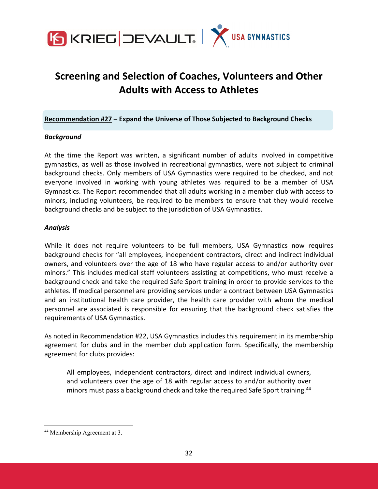

# **Screening and Selection of Coaches, Volunteers and Other Adults with Access to Athletes**

**Recommendation #27 – Expand the Universe of Those Subjected to Background Checks**

## *Background*

At the time the Report was written, a significant number of adults involved in competitive gymnastics, as well as those involved in recreational gymnastics, were not subject to criminal background checks. Only members of USA Gymnastics were required to be checked, and not everyone involved in working with young athletes was required to be a member of USA Gymnastics. The Report recommended that all adults working in a member club with access to minors, including volunteers, be required to be members to ensure that they would receive background checks and be subject to the jurisdiction of USA Gymnastics.

## *Analysis*

While it does not require volunteers to be full members, USA Gymnastics now requires background checks for "all employees, independent contractors, direct and indirect individual owners, and volunteers over the age of 18 who have regular access to and/or authority over minors." This includes medical staff volunteers assisting at competitions, who must receive a background check and take the required Safe Sport training in order to provide services to the athletes. If medical personnel are providing services under a contract between USA Gymnastics and an institutional health care provider, the health care provider with whom the medical personnel are associated is responsible for ensuring that the background check satisfies the requirements of USA Gymnastics.

As noted in Recommendation #22, USA Gymnastics includes this requirement in its membership agreement for clubs and in the member club application form. Specifically, the membership agreement for clubs provides:

All employees, independent contractors, direct and indirect individual owners, and volunteers over the age of 18 with regular access to and/or authority over minors must pass a background check and take the required Safe Sport training.<sup>44</sup>

<sup>44</sup> Membership Agreement at 3.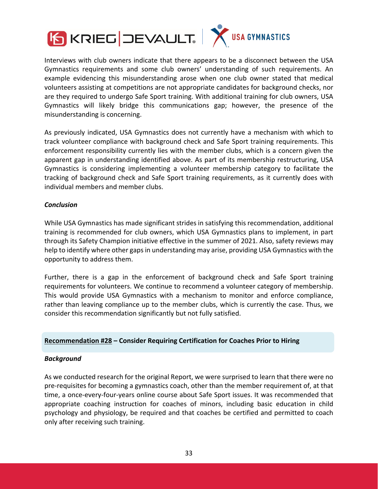



Interviews with club owners indicate that there appears to be a disconnect between the USA Gymnastics requirements and some club owners' understanding of such requirements. An example evidencing this misunderstanding arose when one club owner stated that medical volunteers assisting at competitions are not appropriate candidates for background checks, nor are they required to undergo Safe Sport training. With additional training for club owners, USA Gymnastics will likely bridge this communications gap; however, the presence of the misunderstanding is concerning.

As previously indicated, USA Gymnastics does not currently have a mechanism with which to track volunteer compliance with background check and Safe Sport training requirements. This enforcement responsibility currently lies with the member clubs, which is a concern given the apparent gap in understanding identified above. As part of its membership restructuring, USA Gymnastics is considering implementing a volunteer membership category to facilitate the tracking of background check and Safe Sport training requirements, as it currently does with individual members and member clubs.

## *Conclusion*

While USA Gymnastics has made significant strides in satisfying this recommendation, additional training is recommended for club owners, which USA Gymnastics plans to implement, in part through its Safety Champion initiative effective in the summer of 2021. Also, safety reviews may help to identify where other gaps in understanding may arise, providing USA Gymnastics with the opportunity to address them.

Further, there is a gap in the enforcement of background check and Safe Sport training requirements for volunteers. We continue to recommend a volunteer category of membership. This would provide USA Gymnastics with a mechanism to monitor and enforce compliance, rather than leaving compliance up to the member clubs, which is currently the case. Thus, we consider this recommendation significantly but not fully satisfied.

## **Recommendation #28 – Consider Requiring Certification for Coaches Prior to Hiring**

## *Background*

As we conducted research for the original Report, we were surprised to learn that there were no pre‐requisites for becoming a gymnastics coach, other than the member requirement of, at that time, a once‐every‐four‐years online course about Safe Sport issues. It was recommended that appropriate coaching instruction for coaches of minors, including basic education in child psychology and physiology, be required and that coaches be certified and permitted to coach only after receiving such training.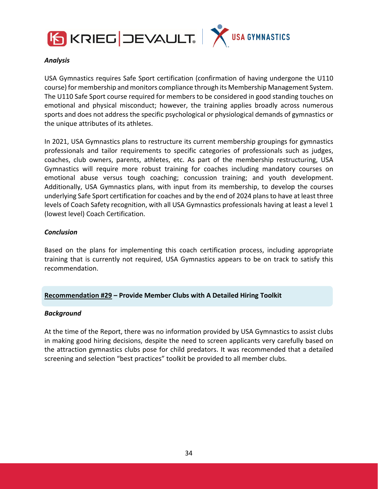



## *Analysis*

USA Gymnastics requires Safe Sport certification (confirmation of having undergone the U110 course) for membership and monitors compliance through its Membership Management System. The U110 Safe Sport course required for members to be considered in good standing touches on emotional and physical misconduct; however, the training applies broadly across numerous sports and does not address the specific psychological or physiological demands of gymnastics or the unique attributes of its athletes.

In 2021, USA Gymnastics plans to restructure its current membership groupings for gymnastics professionals and tailor requirements to specific categories of professionals such as judges, coaches, club owners, parents, athletes, etc. As part of the membership restructuring, USA Gymnastics will require more robust training for coaches including mandatory courses on emotional abuse versus tough coaching; concussion training; and youth development. Additionally, USA Gymnastics plans, with input from its membership, to develop the courses underlying Safe Sport certification for coaches and by the end of 2024 plansto have at least three levels of Coach Safety recognition, with all USA Gymnastics professionals having at least a level 1 (lowest level) Coach Certification.

## *Conclusion*

Based on the plans for implementing this coach certification process, including appropriate training that is currently not required, USA Gymnastics appears to be on track to satisfy this recommendation.

## **Recommendation #29 – Provide Member Clubs with A Detailed Hiring Toolkit**

#### *Background*

At the time of the Report, there was no information provided by USA Gymnastics to assist clubs in making good hiring decisions, despite the need to screen applicants very carefully based on the attraction gymnastics clubs pose for child predators. It was recommended that a detailed screening and selection "best practices" toolkit be provided to all member clubs.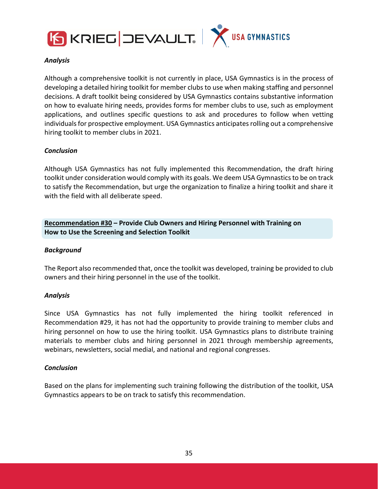



## *Analysis*

Although a comprehensive toolkit is not currently in place, USA Gymnastics is in the process of developing a detailed hiring toolkit for member clubs to use when making staffing and personnel decisions. A draft toolkit being considered by USA Gymnastics contains substantive information on how to evaluate hiring needs, provides forms for member clubs to use, such as employment applications, and outlines specific questions to ask and procedures to follow when vetting individuals for prospective employment. USA Gymnastics anticipates rolling out a comprehensive hiring toolkit to member clubs in 2021.

## *Conclusion*

Although USA Gymnastics has not fully implemented this Recommendation, the draft hiring toolkit under consideration would comply with its goals. We deem USA Gymnastics to be on track to satisfy the Recommendation, but urge the organization to finalize a hiring toolkit and share it with the field with all deliberate speed.

**Recommendation #30 – Provide Club Owners and Hiring Personnel with Training on How to Use the Screening and Selection Toolkit**

#### *Background*

The Report also recommended that, once the toolkit was developed, training be provided to club owners and their hiring personnel in the use of the toolkit.

## *Analysis*

Since USA Gymnastics has not fully implemented the hiring toolkit referenced in Recommendation #29, it has not had the opportunity to provide training to member clubs and hiring personnel on how to use the hiring toolkit. USA Gymnastics plans to distribute training materials to member clubs and hiring personnel in 2021 through membership agreements, webinars, newsletters, social medial, and national and regional congresses.

#### *Conclusion*

Based on the plans for implementing such training following the distribution of the toolkit, USA Gymnastics appears to be on track to satisfy this recommendation.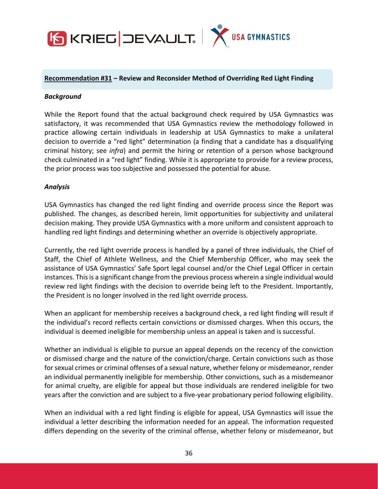

# **Recommendation #31 – Review and Reconsider Method of Overriding Red Light Finding**

#### *Background*

While the Report found that the actual background check required by USA Gymnastics was satisfactory, it was recommended that USA Gymnastics review the methodology followed in practice allowing certain individuals in leadership at USA Gymnastics to make a unilateral decision to override a "red light" determination (a finding that a candidate has a disqualifying criminal history; see *infra*) and permit the hiring or retention of a person whose background check culminated in a "red light" finding. While it is appropriate to provide for a review process, the prior process was too subjective and possessed the potential for abuse.

#### *Analysis*

USA Gymnastics has changed the red light finding and override process since the Report was published. The changes, as described herein, limit opportunities for subjectivity and unilateral decision making. They provide USA Gymnastics with a more uniform and consistent approach to handling red light findings and determining whether an override is objectively appropriate.

Currently, the red light override process is handled by a panel of three individuals, the Chief of Staff, the Chief of Athlete Wellness, and the Chief Membership Officer, who may seek the assistance of USA Gymnastics' Safe Sport legal counsel and/or the Chief Legal Officer in certain instances. This is a significant change from the previous process wherein a single individual would review red light findings with the decision to override being left to the President. Importantly, the President is no longer involved in the red light override process.

When an applicant for membership receives a background check, a red light finding will result if the individual's record reflects certain convictions or dismissed charges. When this occurs, the individual is deemed ineligible for membership unless an appeal is taken and is successful.

Whether an individual is eligible to pursue an appeal depends on the recency of the conviction or dismissed charge and the nature of the conviction/charge. Certain convictions such as those for sexual crimes or criminal offenses of a sexual nature, whether felony or misdemeanor, render an individual permanently ineligible for membership. Other convictions, such as a misdemeanor for animal cruelty, are eligible for appeal but those individuals are rendered ineligible for two years after the conviction and are subject to a five-year probationary period following eligibility.

When an individual with a red light finding is eligible for appeal, USA Gymnastics will issue the individual a letter describing the information needed for an appeal. The information requested differs depending on the severity of the criminal offense, whether felony or misdemeanor, but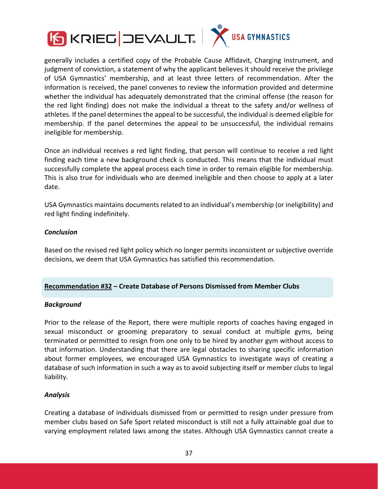



generally includes a certified copy of the Probable Cause Affidavit, Charging Instrument, and judgment of conviction, a statement of why the applicant believes it should receive the privilege of USA Gymnastics' membership, and at least three letters of recommendation. After the information is received, the panel convenes to review the information provided and determine whether the individual has adequately demonstrated that the criminal offense (the reason for the red light finding) does not make the individual a threat to the safety and/or wellness of athletes. If the panel determines the appeal to be successful, the individual is deemed eligible for membership. If the panel determines the appeal to be unsuccessful, the individual remains ineligible for membership.

Once an individual receives a red light finding, that person will continue to receive a red light finding each time a new background check is conducted. This means that the individual must successfully complete the appeal process each time in order to remain eligible for membership. This is also true for individuals who are deemed ineligible and then choose to apply at a later date.

USA Gymnastics maintains documents related to an individual's membership (or ineligibility) and red light finding indefinitely.

#### *Conclusion*

Based on the revised red light policy which no longer permits inconsistent or subjective override decisions, we deem that USA Gymnastics has satisfied this recommendation.

#### **Recommendation #32 – Create Database of Persons Dismissed from Member Clubs**

#### *Background*

Prior to the release of the Report, there were multiple reports of coaches having engaged in sexual misconduct or grooming preparatory to sexual conduct at multiple gyms, being terminated or permitted to resign from one only to be hired by another gym without access to that information. Understanding that there are legal obstacles to sharing specific information about former employees, we encouraged USA Gymnastics to investigate ways of creating a database of such information in such a way as to avoid subjecting itself or member clubs to legal liability.

#### *Analysis*

Creating a database of individuals dismissed from or permitted to resign under pressure from member clubs based on Safe Sport related misconduct is still not a fully attainable goal due to varying employment related laws among the states. Although USA Gymnastics cannot create a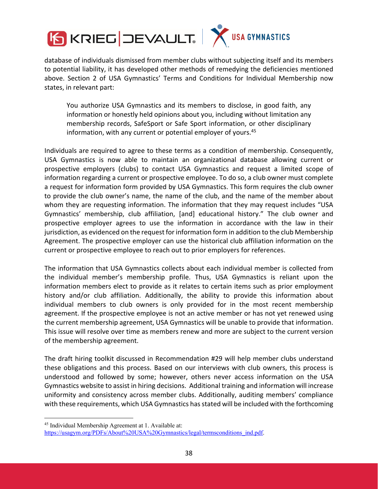

database of individuals dismissed from member clubs without subjecting itself and its members to potential liability, it has developed other methods of remedying the deficiencies mentioned above. Section 2 of USA Gymnastics' Terms and Conditions for Individual Membership now states, in relevant part:

You authorize USA Gymnastics and its members to disclose, in good faith, any information or honestly held opinions about you, including without limitation any membership records, SafeSport or Safe Sport information, or other disciplinary information, with any current or potential employer of yours.<sup>45</sup>

Individuals are required to agree to these terms as a condition of membership. Consequently, USA Gymnastics is now able to maintain an organizational database allowing current or prospective employers (clubs) to contact USA Gymnastics and request a limited scope of information regarding a current or prospective employee. To do so, a club owner must complete a request for information form provided by USA Gymnastics. This form requires the club owner to provide the club owner's name, the name of the club, and the name of the member about whom they are requesting information. The information that they may request includes "USA Gymnastics' membership, club affiliation, [and] educational history." The club owner and prospective employer agrees to use the information in accordance with the law in their jurisdiction, as evidenced on the request for information form in addition to the club Membership Agreement. The prospective employer can use the historical club affiliation information on the current or prospective employee to reach out to prior employers for references.

The information that USA Gymnastics collects about each individual member is collected from the individual member's membership profile. Thus, USA Gymnastics is reliant upon the information members elect to provide as it relates to certain items such as prior employment history and/or club affiliation. Additionally, the ability to provide this information about individual members to club owners is only provided for in the most recent membership agreement. If the prospective employee is not an active member or has not yet renewed using the current membership agreement, USA Gymnastics will be unable to provide that information. This issue will resolve over time as members renew and more are subject to the current version of the membership agreement.

The draft hiring toolkit discussed in Recommendation #29 will help member clubs understand these obligations and this process. Based on our interviews with club owners, this process is understood and followed by some; however, others never access information on the USA Gymnastics website to assist in hiring decisions. Additional training and information will increase uniformity and consistency across member clubs. Additionally, auditing members' compliance with these requirements, which USA Gymnastics has stated will be included with the forthcoming

<sup>45</sup> Individual Membership Agreement at 1. Available at:

https://usagym.org/PDFs/About%20USA%20Gymnastics/legal/termsconditions\_ind.pdf.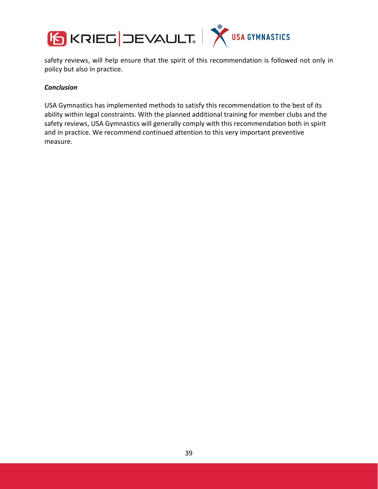

safety reviews, will help ensure that the spirit of this recommendation is followed not only in policy but also in practice.

### *Conclusion*

USA Gymnastics has implemented methods to satisfy this recommendation to the best of its ability within legal constraints. With the planned additional training for member clubs and the safety reviews, USA Gymnastics will generally comply with this recommendation both in spirit and in practice. We recommend continued attention to this very important preventive measure.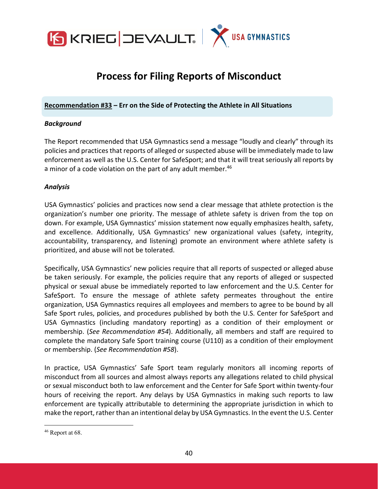

# **Process for Filing Reports of Misconduct**

**Recommendation #33 – Err on the Side of Protecting the Athlete in All Situations**

#### *Background*

The Report recommended that USA Gymnastics send a message "loudly and clearly" through its policies and practices that reports of alleged or suspected abuse will be immediately made to law enforcement as well as the U.S. Center for SafeSport; and that it will treat seriously all reports by a minor of a code violation on the part of any adult member.<sup>46</sup>

#### *Analysis*

USA Gymnastics' policies and practices now send a clear message that athlete protection is the organization's number one priority. The message of athlete safety is driven from the top on down. For example, USA Gymnastics' mission statement now equally emphasizes health, safety, and excellence. Additionally, USA Gymnastics' new organizational values (safety, integrity, accountability, transparency, and listening) promote an environment where athlete safety is prioritized, and abuse will not be tolerated.

Specifically, USA Gymnastics' new policies require that all reports of suspected or alleged abuse be taken seriously. For example, the policies require that any reports of alleged or suspected physical or sexual abuse be immediately reported to law enforcement and the U.S. Center for SafeSport. To ensure the message of athlete safety permeates throughout the entire organization, USA Gymnastics requires all employees and members to agree to be bound by all Safe Sport rules, policies, and procedures published by both the U.S. Center for SafeSport and USA Gymnastics (including mandatory reporting) as a condition of their employment or membership. (*See Recommendation #54*). Additionally, all members and staff are required to complete the mandatory Safe Sport training course (U110) as a condition of their employment or membership. (*See Recommendation #58*).

In practice, USA Gymnastics' Safe Sport team regularly monitors all incoming reports of misconduct from all sources and almost always reports any allegations related to child physical or sexual misconduct both to law enforcement and the Center for Safe Sport within twenty‐four hours of receiving the report. Any delays by USA Gymnastics in making such reports to law enforcement are typically attributable to determining the appropriate jurisdiction in which to make the report, rather than an intentional delay by USA Gymnastics. In the event the U.S. Center

<sup>&</sup>lt;sup>46</sup> Report at 68.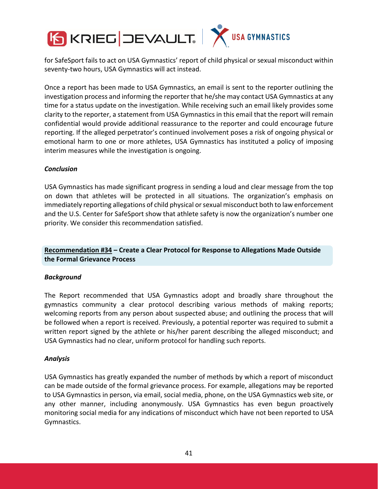

for SafeSport fails to act on USA Gymnastics' report of child physical or sexual misconduct within seventy‐two hours, USA Gymnastics will act instead.

Once a report has been made to USA Gymnastics, an email is sent to the reporter outlining the investigation process and informing the reporter that he/she may contact USA Gymnastics at any time for a status update on the investigation. While receiving such an email likely provides some clarity to the reporter, a statement from USA Gymnastics in this email that the report will remain confidential would provide additional reassurance to the reporter and could encourage future reporting. If the alleged perpetrator's continued involvement poses a risk of ongoing physical or emotional harm to one or more athletes, USA Gymnastics has instituted a policy of imposing interim measures while the investigation is ongoing.

#### *Conclusion*

USA Gymnastics has made significant progress in sending a loud and clear message from the top on down that athletes will be protected in all situations. The organization's emphasis on immediately reporting allegations of child physical orsexual misconduct both to law enforcement and the U.S. Center for SafeSport show that athlete safety is now the organization's number one priority. We consider this recommendation satisfied.

# **Recommendation #34 – Create a Clear Protocol for Response to Allegations Made Outside the Formal Grievance Process**

#### *Background*

The Report recommended that USA Gymnastics adopt and broadly share throughout the gymnastics community a clear protocol describing various methods of making reports; welcoming reports from any person about suspected abuse; and outlining the process that will be followed when a report is received. Previously, a potential reporter was required to submit a written report signed by the athlete or his/her parent describing the alleged misconduct; and USA Gymnastics had no clear, uniform protocol for handling such reports.

#### *Analysis*

USA Gymnastics has greatly expanded the number of methods by which a report of misconduct can be made outside of the formal grievance process. For example, allegations may be reported to USA Gymnastics in person, via email, social media, phone, on the USA Gymnastics web site, or any other manner, including anonymously. USA Gymnastics has even begun proactively monitoring social media for any indications of misconduct which have not been reported to USA Gymnastics.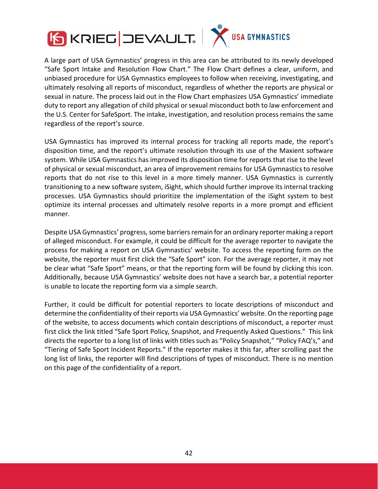



A large part of USA Gymnastics' progress in this area can be attributed to its newly developed "Safe Sport Intake and Resolution Flow Chart." The Flow Chart defines a clear, uniform, and unbiased procedure for USA Gymnastics employees to follow when receiving, investigating, and ultimately resolving all reports of misconduct, regardless of whether the reports are physical or sexual in nature. The process laid out in the Flow Chart emphasizes USA Gymnastics' immediate duty to report any allegation of child physical or sexual misconduct both to law enforcement and the U.S. Center for SafeSport. The intake, investigation, and resolution process remains the same regardless of the report's source.

USA Gymnastics has improved its internal process for tracking all reports made, the report's disposition time, and the report's ultimate resolution through its use of the Maxient software system. While USA Gymnastics has improved its disposition time for reports that rise to the level of physical or sexual misconduct, an area of improvement remainsfor USA Gymnastics to resolve reports that do not rise to this level in a more timely manner. USA Gymnastics is currently transitioning to a new software system, iSight, which should further improve its internal tracking processes. USA Gymnastics should prioritize the implementation of the iSight system to best optimize its internal processes and ultimately resolve reports in a more prompt and efficient manner.

Despite USA Gymnastics' progress, some barriers remain for an ordinary reporter making a report of alleged misconduct. For example, it could be difficult for the average reporter to navigate the process for making a report on USA Gymnastics' website. To access the reporting form on the website, the reporter must first click the "Safe Sport" icon. For the average reporter, it may not be clear what "Safe Sport" means, or that the reporting form will be found by clicking this icon. Additionally, because USA Gymnastics' website does not have a search bar, a potential reporter is unable to locate the reporting form via a simple search.

Further, it could be difficult for potential reporters to locate descriptions of misconduct and determine the confidentiality of their reports via USA Gymnastics' website. On the reporting page of the website, to access documents which contain descriptions of misconduct, a reporter must first click the link titled "Safe Sport Policy, Snapshot, and Frequently Asked Questions." This link directs the reporter to a long list of links with titles such as "Policy Snapshot," "Policy FAQ's," and "Tiering of Safe Sport Incident Reports." If the reporter makes it this far, after scrolling past the long list of links, the reporter will find descriptions of types of misconduct. There is no mention on this page of the confidentiality of a report.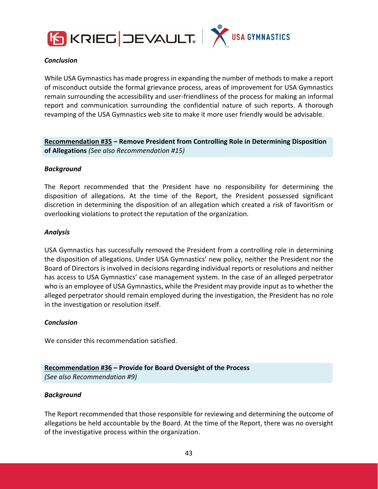



#### *Conclusion*

While USA Gymnastics has made progressin expanding the number of methods to make a report of misconduct outside the formal grievance process, areas of improvement for USA Gymnastics remain surrounding the accessibility and user‐friendliness of the process for making an informal report and communication surrounding the confidential nature of such reports. A thorough revamping of the USA Gymnastics web site to make it more user friendly would be advisable.

**Recommendation #35 – Remove President from Controlling Role in Determining Disposition of Allegations** *(See also Recommendation #15)*

#### *Background*

The Report recommended that the President have no responsibility for determining the disposition of allegations. At the time of the Report, the President possessed significant discretion in determining the disposition of an allegation which created a risk of favoritism or overlooking violations to protect the reputation of the organization.

#### *Analysis*

USA Gymnastics has successfully removed the President from a controlling role in determining the disposition of allegations. Under USA Gymnastics' new policy, neither the President nor the Board of Directors is involved in decisions regarding individual reports or resolutions and neither has access to USA Gymnastics' case management system. In the case of an alleged perpetrator who is an employee of USA Gymnastics, while the President may provide input as to whether the alleged perpetrator should remain employed during the investigation, the President has no role in the investigation or resolution itself.

#### *Conclusion*

We consider this recommendation satisfied.

### **Recommendation #36 – Provide for Board Oversight of the Process** *(See also Recommendation #9)*

# *Background*

The Report recommended that those responsible for reviewing and determining the outcome of allegations be held accountable by the Board. At the time of the Report, there was no oversight of the investigative process within the organization.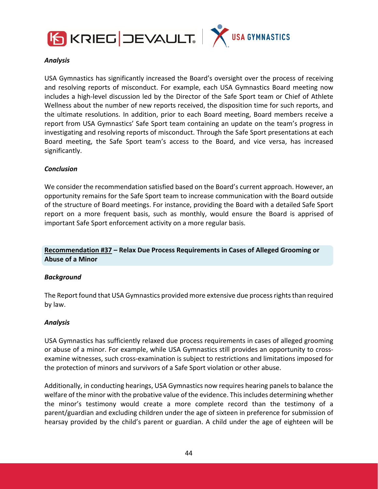



#### *Analysis*

USA Gymnastics has significantly increased the Board's oversight over the process of receiving and resolving reports of misconduct. For example, each USA Gymnastics Board meeting now includes a high‐level discussion led by the Director of the Safe Sport team or Chief of Athlete Wellness about the number of new reports received, the disposition time for such reports, and the ultimate resolutions. In addition, prior to each Board meeting, Board members receive a report from USA Gymnastics' Safe Sport team containing an update on the team's progress in investigating and resolving reports of misconduct. Through the Safe Sport presentations at each Board meeting, the Safe Sport team's access to the Board, and vice versa, has increased significantly.

#### *Conclusion*

We consider the recommendation satisfied based on the Board's current approach. However, an opportunity remains for the Safe Sport team to increase communication with the Board outside of the structure of Board meetings. For instance, providing the Board with a detailed Safe Sport report on a more frequent basis, such as monthly, would ensure the Board is apprised of important Safe Sport enforcement activity on a more regular basis.

# **Recommendation #37 – Relax Due Process Requirements in Cases of Alleged Grooming or Abuse of a Minor**

#### *Background*

The Report found that USA Gymnastics provided more extensive due process rights than required by law.

#### *Analysis*

USA Gymnastics has sufficiently relaxed due process requirements in cases of alleged grooming or abuse of a minor. For example, while USA Gymnastics still provides an opportunity to cross‐ examine witnesses, such cross‐examination is subject to restrictions and limitations imposed for the protection of minors and survivors of a Safe Sport violation or other abuse.

Additionally, in conducting hearings, USA Gymnastics now requires hearing panelsto balance the welfare of the minor with the probative value of the evidence. Thisincludes determining whether the minor's testimony would create a more complete record than the testimony of a parent/guardian and excluding children under the age of sixteen in preference for submission of hearsay provided by the child's parent or guardian. A child under the age of eighteen will be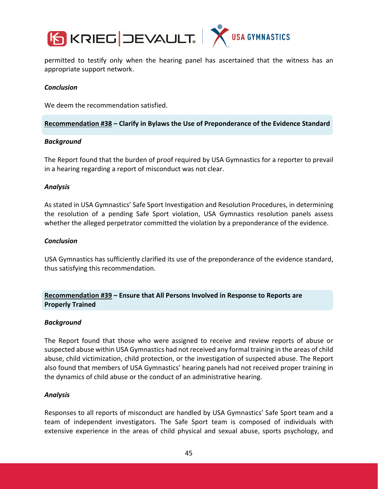



permitted to testify only when the hearing panel has ascertained that the witness has an appropriate support network.

#### *Conclusion*

We deem the recommendation satisfied.

#### **Recommendation #38 – Clarify in Bylaws the Use of Preponderance of the Evidence Standard**

#### *Background*

The Report found that the burden of proof required by USA Gymnastics for a reporter to prevail in a hearing regarding a report of misconduct was not clear.

#### *Analysis*

As stated in USA Gymnastics' Safe Sport Investigation and Resolution Procedures, in determining the resolution of a pending Safe Sport violation, USA Gymnastics resolution panels assess whether the alleged perpetrator committed the violation by a preponderance of the evidence.

#### *Conclusion*

USA Gymnastics has sufficiently clarified its use of the preponderance of the evidence standard, thus satisfying this recommendation.

# **Recommendation #39 – Ensure that All Persons Involved in Response to Reports are Properly Trained**

#### *Background*

The Report found that those who were assigned to receive and review reports of abuse or suspected abuse within USA Gymnastics had not received any formal training in the areas of child abuse, child victimization, child protection, or the investigation of suspected abuse. The Report also found that members of USA Gymnastics' hearing panels had not received proper training in the dynamics of child abuse or the conduct of an administrative hearing.

#### *Analysis*

Responses to all reports of misconduct are handled by USA Gymnastics' Safe Sport team and a team of independent investigators. The Safe Sport team is composed of individuals with extensive experience in the areas of child physical and sexual abuse, sports psychology, and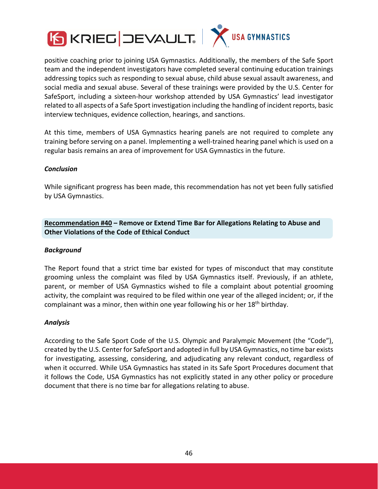

positive coaching prior to joining USA Gymnastics. Additionally, the members of the Safe Sport team and the independent investigators have completed several continuing education trainings addressing topics such as responding to sexual abuse, child abuse sexual assault awareness, and social media and sexual abuse. Several of these trainings were provided by the U.S. Center for SafeSport, including a sixteen‐hour workshop attended by USA Gymnastics' lead investigator related to all aspects of a Safe Sport investigation including the handling of incident reports, basic interview techniques, evidence collection, hearings, and sanctions.

At this time, members of USA Gymnastics hearing panels are not required to complete any training before serving on a panel. Implementing a well‐trained hearing panel which is used on a regular basis remains an area of improvement for USA Gymnastics in the future.

# *Conclusion*

While significant progress has been made, this recommendation has not yet been fully satisfied by USA Gymnastics.

**Recommendation #40 – Remove or Extend Time Bar for Allegations Relating to Abuse and Other Violations of the Code of Ethical Conduct**

#### *Background*

The Report found that a strict time bar existed for types of misconduct that may constitute grooming unless the complaint was filed by USA Gymnastics itself. Previously, if an athlete, parent, or member of USA Gymnastics wished to file a complaint about potential grooming activity, the complaint was required to be filed within one year of the alleged incident; or, if the complainant was a minor, then within one year following his or her 18<sup>th</sup> birthday.

#### *Analysis*

According to the Safe Sport Code of the U.S. Olympic and Paralympic Movement (the "Code"), created by the U.S. Center for SafeSport and adopted in full by USA Gymnastics, no time bar exists for investigating, assessing, considering, and adjudicating any relevant conduct, regardless of when it occurred. While USA Gymnastics has stated in its Safe Sport Procedures document that it follows the Code, USA Gymnastics has not explicitly stated in any other policy or procedure document that there is no time bar for allegations relating to abuse.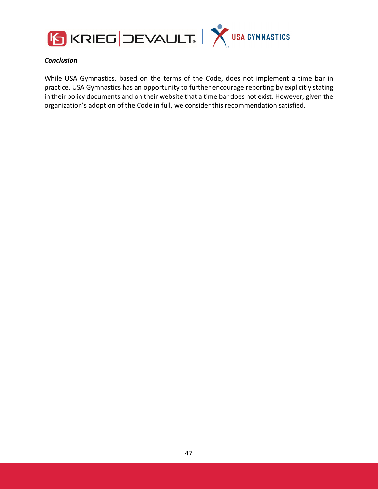



### *Conclusion*

While USA Gymnastics, based on the terms of the Code, does not implement a time bar in practice, USA Gymnastics has an opportunity to further encourage reporting by explicitly stating in their policy documents and on their website that a time bar does not exist. However, given the organization's adoption of the Code in full, we consider this recommendation satisfied.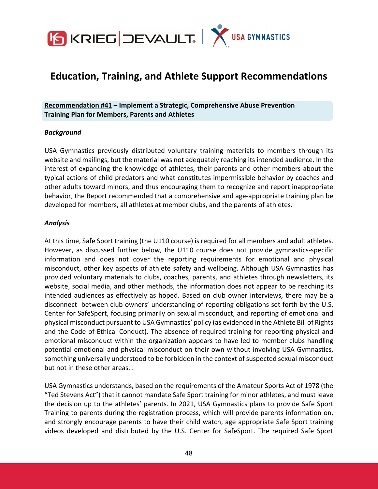

# **Education, Training, and Athlete Support Recommendations**

**Recommendation #41 – Implement a Strategic, Comprehensive Abuse Prevention Training Plan for Members, Parents and Athletes**

#### *Background*

USA Gymnastics previously distributed voluntary training materials to members through its website and mailings, but the material was not adequately reaching its intended audience. In the interest of expanding the knowledge of athletes, their parents and other members about the typical actions of child predators and what constitutes impermissible behavior by coaches and other adults toward minors, and thus encouraging them to recognize and report inappropriate behavior, the Report recommended that a comprehensive and age‐appropriate training plan be developed for members, all athletes at member clubs, and the parents of athletes.

#### *Analysis*

At this time, Safe Sport training (the U110 course) is required for all members and adult athletes. However, as discussed further below, the U110 course does not provide gymnastics-specific information and does not cover the reporting requirements for emotional and physical misconduct, other key aspects of athlete safety and wellbeing. Although USA Gymnastics has provided voluntary materials to clubs, coaches, parents, and athletes through newsletters, its website, social media, and other methods, the information does not appear to be reaching its intended audiences as effectively as hoped. Based on club owner interviews, there may be a disconnect between club owners' understanding of reporting obligations set forth by the U.S. Center for SafeSport, focusing primarily on sexual misconduct, and reporting of emotional and physical misconduct pursuant to USA Gymnastics' policy (as evidenced in the Athlete Bill of Rights and the Code of Ethical Conduct). The absence of required training for reporting physical and emotional misconduct within the organization appears to have led to member clubs handling potential emotional and physical misconduct on their own without involving USA Gymnastics, something universally understood to be forbidden in the context of suspected sexual misconduct but not in these other areas. .

USA Gymnastics understands, based on the requirements of the Amateur Sports Act of 1978 (the "Ted Stevens Act") that it cannot mandate Safe Sport training for minor athletes, and must leave the decision up to the athletes' parents. In 2021, USA Gymnastics plans to provide Safe Sport Training to parents during the registration process, which will provide parents information on, and strongly encourage parents to have their child watch, age appropriate Safe Sport training videos developed and distributed by the U.S. Center for SafeSport. The required Safe Sport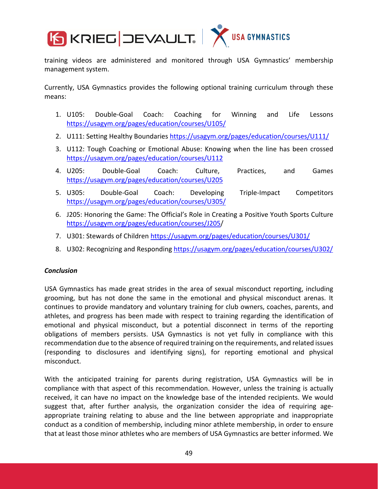

training videos are administered and monitored through USA Gymnastics' membership management system.

Currently, USA Gymnastics provides the following optional training curriculum through these means:

- 1. U105: Double‐Goal Coach: Coaching for Winning and Life Lessons https://usagym.org/pages/education/courses/U105/
- 2. U111: Setting Healthy Boundaries https://usagym.org/pages/education/courses/U111/
- 3. U112: Tough Coaching or Emotional Abuse: Knowing when the line has been crossed https://usagym.org/pages/education/courses/U112
- 4. U205: Double‐Goal Coach: Culture, Practices, and Games https://usagym.org/pages/education/courses/U205
- 5. U305: Double‐Goal Coach: Developing Triple‐Impact Competitors https://usagym.org/pages/education/courses/U305/
- 6. J205: Honoring the Game: The Official's Role in Creating a Positive Youth Sports Culture https://usagym.org/pages/education/courses/J205/
- 7. U301: Stewards of Children https://usagym.org/pages/education/courses/U301/
- 8. U302: Recognizing and Responding https://usagym.org/pages/education/courses/U302/

#### *Conclusion*

USA Gymnastics has made great strides in the area of sexual misconduct reporting, including grooming, but has not done the same in the emotional and physical misconduct arenas. It continues to provide mandatory and voluntary training for club owners, coaches, parents, and athletes, and progress has been made with respect to training regarding the identification of emotional and physical misconduct, but a potential disconnect in terms of the reporting obligations of members persists. USA Gymnastics is not yet fully in compliance with this recommendation due to the absence of required training on the requirements, and related issues (responding to disclosures and identifying signs), for reporting emotional and physical misconduct.

With the anticipated training for parents during registration, USA Gymnastics will be in compliance with that aspect of this recommendation. However, unless the training is actually received, it can have no impact on the knowledge base of the intended recipients. We would suggest that, after further analysis, the organization consider the idea of requiring age‐ appropriate training relating to abuse and the line between appropriate and inappropriate conduct as a condition of membership, including minor athlete membership, in order to ensure that at least those minor athletes who are members of USA Gymnastics are better informed. We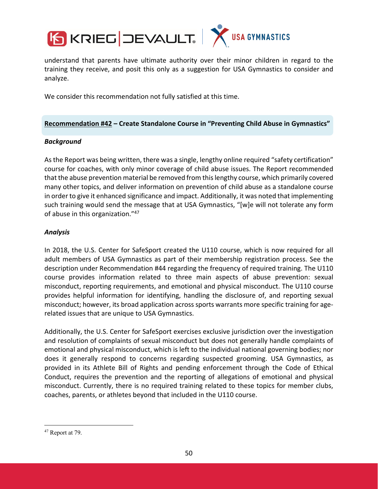

understand that parents have ultimate authority over their minor children in regard to the training they receive, and posit this only as a suggestion for USA Gymnastics to consider and analyze.

We consider this recommendation not fully satisfied at this time.

#### **Recommendation #42 – Create Standalone Course in "Preventing Child Abuse in Gymnastics"**

#### *Background*

Asthe Report was being written, there was a single, lengthy online required "safety certification" course for coaches, with only minor coverage of child abuse issues. The Report recommended that the abuse prevention material be removed from thislengthy course, which primarily covered many other topics, and deliver information on prevention of child abuse as a standalone course in order to give it enhanced significance and impact. Additionally, it was noted that implementing such training would send the message that at USA Gymnastics, "[w]e will not tolerate any form of abuse in this organization."47

# *Analysis*

In 2018, the U.S. Center for SafeSport created the U110 course, which is now required for all adult members of USA Gymnastics as part of their membership registration process. See the description under Recommendation #44 regarding the frequency of required training. The U110 course provides information related to three main aspects of abuse prevention: sexual misconduct, reporting requirements, and emotional and physical misconduct. The U110 course provides helpful information for identifying, handling the disclosure of, and reporting sexual misconduct; however, its broad application across sports warrants more specific training for agerelated issues that are unique to USA Gymnastics.

Additionally, the U.S. Center for SafeSport exercises exclusive jurisdiction over the investigation and resolution of complaints of sexual misconduct but does not generally handle complaints of emotional and physical misconduct, which is left to the individual national governing bodies; nor does it generally respond to concerns regarding suspected grooming. USA Gymnastics, as provided in its Athlete Bill of Rights and pending enforcement through the Code of Ethical Conduct, requires the prevention and the reporting of allegations of emotional and physical misconduct. Currently, there is no required training related to these topics for member clubs, coaches, parents, or athletes beyond that included in the U110 course.

<sup>&</sup>lt;sup>47</sup> Report at 79.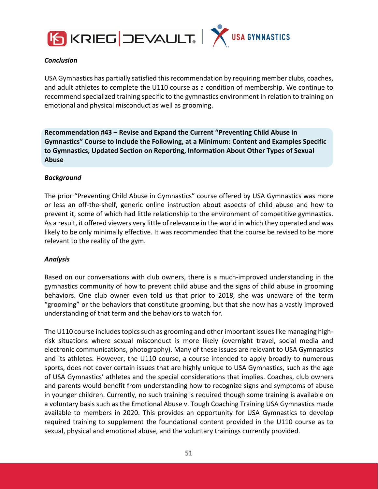



#### *Conclusion*

USA Gymnastics has partially satisfied this recommendation by requiring member clubs, coaches, and adult athletes to complete the U110 course as a condition of membership. We continue to recommend specialized training specific to the gymnastics environment in relation to training on emotional and physical misconduct as well as grooming.

**Recommendation #43 – Revise and Expand the Current "Preventing Child Abuse in Gymnastics" Course to Include the Following, at a Minimum: Content and Examples Specific to Gymnastics, Updated Section on Reporting, Information About Other Types of Sexual Abuse**

#### *Background*

The prior "Preventing Child Abuse in Gymnastics" course offered by USA Gymnastics was more or less an off‐the‐shelf, generic online instruction about aspects of child abuse and how to prevent it, some of which had little relationship to the environment of competitive gymnastics. As a result, it offered viewers very little of relevance in the world in which they operated and was likely to be only minimally effective. It was recommended that the course be revised to be more relevant to the reality of the gym.

#### *Analysis*

Based on our conversations with club owners, there is a much‐improved understanding in the gymnastics community of how to prevent child abuse and the signs of child abuse in grooming behaviors. One club owner even told us that prior to 2018, she was unaware of the term "grooming" or the behaviors that constitute grooming, but that she now has a vastly improved understanding of that term and the behaviors to watch for.

The U110 course includes topics such as grooming and other important issues like managing highrisk situations where sexual misconduct is more likely (overnight travel, social media and electronic communications, photography). Many of these issues are relevant to USA Gymnastics and its athletes. However, the U110 course, a course intended to apply broadly to numerous sports, does not cover certain issues that are highly unique to USA Gymnastics, such as the age of USA Gymnastics' athletes and the special considerations that implies. Coaches, club owners and parents would benefit from understanding how to recognize signs and symptoms of abuse in younger children. Currently, no such training is required though some training is available on a voluntary basis such as the Emotional Abuse v. Tough Coaching Training USA Gymnastics made available to members in 2020. This provides an opportunity for USA Gymnastics to develop required training to supplement the foundational content provided in the U110 course as to sexual, physical and emotional abuse, and the voluntary trainings currently provided.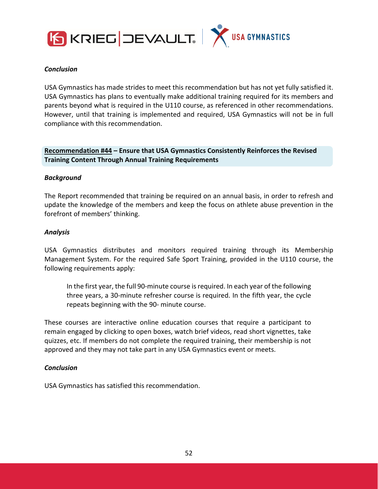



#### *Conclusion*

USA Gymnastics has made strides to meet this recommendation but has not yet fully satisfied it. USA Gymnastics has plans to eventually make additional training required for its members and parents beyond what is required in the U110 course, as referenced in other recommendations. However, until that training is implemented and required, USA Gymnastics will not be in full compliance with this recommendation.

# **Recommendation #44 – Ensure that USA Gymnastics Consistently Reinforces the Revised Training Content Through Annual Training Requirements**

#### *Background*

The Report recommended that training be required on an annual basis, in order to refresh and update the knowledge of the members and keep the focus on athlete abuse prevention in the forefront of members' thinking.

#### *Analysis*

USA Gymnastics distributes and monitors required training through its Membership Management System. For the required Safe Sport Training, provided in the U110 course, the following requirements apply:

In the first year, the full 90‐minute course isrequired. In each year of the following three years, a 30‐minute refresher course is required. In the fifth year, the cycle repeats beginning with the 90‐ minute course.

These courses are interactive online education courses that require a participant to remain engaged by clicking to open boxes, watch brief videos, read short vignettes, take quizzes, etc. If members do not complete the required training, their membership is not approved and they may not take part in any USA Gymnastics event or meets.

#### *Conclusion*

USA Gymnastics has satisfied this recommendation.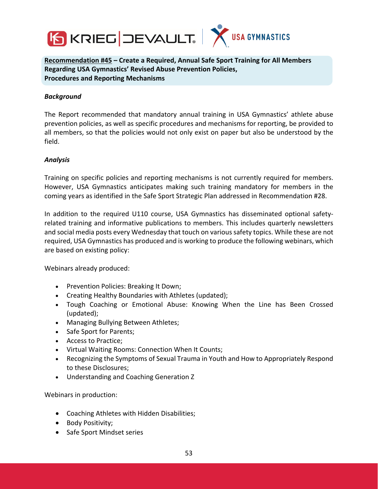

**Recommendation #45 – Create a Required, Annual Safe Sport Training for All Members Regarding USA Gymnastics' Revised Abuse Prevention Policies, Procedures and Reporting Mechanisms**

#### *Background*

The Report recommended that mandatory annual training in USA Gymnastics' athlete abuse prevention policies, as well as specific procedures and mechanisms for reporting, be provided to all members, so that the policies would not only exist on paper but also be understood by the field.

#### *Analysis*

Training on specific policies and reporting mechanisms is not currently required for members. However, USA Gymnastics anticipates making such training mandatory for members in the coming years as identified in the Safe Sport Strategic Plan addressed in Recommendation #28.

In addition to the required U110 course, USA Gymnastics has disseminated optional safety‐ related training and informative publications to members. This includes quarterly newsletters and social media posts every Wednesday that touch on varioussafety topics. While these are not required, USA Gymnastics has produced and is working to produce the following webinars, which are based on existing policy:

Webinars already produced:

- Prevention Policies: Breaking It Down;
- Creating Healthy Boundaries with Athletes (updated);
- Tough Coaching or Emotional Abuse: Knowing When the Line has Been Crossed (updated);
- Managing Bullying Between Athletes;
- Safe Sport for Parents;
- Access to Practice;
- Virtual Waiting Rooms: Connection When It Counts;
- Recognizing the Symptoms of Sexual Trauma in Youth and How to Appropriately Respond to these Disclosures;
- Understanding and Coaching Generation Z

Webinars in production:

- Coaching Athletes with Hidden Disabilities;
- Body Positivity;
- Safe Sport Mindset series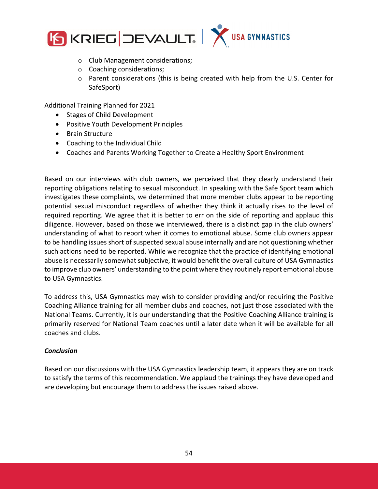



- o Club Management considerations;
- o Coaching considerations;
- $\circ$  Parent considerations (this is being created with help from the U.S. Center for SafeSport)

Additional Training Planned for 2021

- Stages of Child Development
- Positive Youth Development Principles
- Brain Structure
- Coaching to the Individual Child
- Coaches and Parents Working Together to Create a Healthy Sport Environment

Based on our interviews with club owners, we perceived that they clearly understand their reporting obligations relating to sexual misconduct. In speaking with the Safe Sport team which investigates these complaints, we determined that more member clubs appear to be reporting potential sexual misconduct regardless of whether they think it actually rises to the level of required reporting. We agree that it is better to err on the side of reporting and applaud this diligence. However, based on those we interviewed, there is a distinct gap in the club owners' understanding of what to report when it comes to emotional abuse. Some club owners appear to be handling issues short of suspected sexual abuse internally and are not questioning whether such actions need to be reported. While we recognize that the practice of identifying emotional abuse is necessarily somewhat subjective, it would benefit the overall culture of USA Gymnastics to improve club owners' understanding to the point where they routinely report emotional abuse to USA Gymnastics.

To address this, USA Gymnastics may wish to consider providing and/or requiring the Positive Coaching Alliance training for all member clubs and coaches, not just those associated with the National Teams. Currently, it is our understanding that the Positive Coaching Alliance training is primarily reserved for National Team coaches until a later date when it will be available for all coaches and clubs.

#### *Conclusion*

Based on our discussions with the USA Gymnastics leadership team, it appears they are on track to satisfy the terms of this recommendation. We applaud the trainings they have developed and are developing but encourage them to address the issues raised above.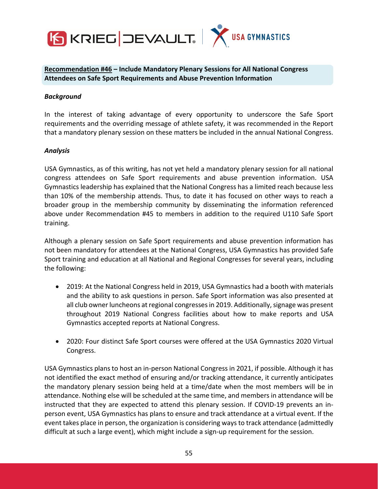

**Recommendation #46 – Include Mandatory Plenary Sessions for All National Congress Attendees on Safe Sport Requirements and Abuse Prevention Information**

#### *Background*

In the interest of taking advantage of every opportunity to underscore the Safe Sport requirements and the overriding message of athlete safety, it was recommended in the Report that a mandatory plenary session on these matters be included in the annual National Congress.

#### *Analysis*

USA Gymnastics, as of this writing, has not yet held a mandatory plenary session for all national congress attendees on Safe Sport requirements and abuse prevention information. USA Gymnastics leadership has explained that the National Congress has a limited reach because less than 10% of the membership attends. Thus, to date it has focused on other ways to reach a broader group in the membership community by disseminating the information referenced above under Recommendation #45 to members in addition to the required U110 Safe Sport training.

Although a plenary session on Safe Sport requirements and abuse prevention information has not been mandatory for attendees at the National Congress, USA Gymnastics has provided Safe Sport training and education at all National and Regional Congresses for several years, including the following:

- 2019: At the National Congress held in 2019, USA Gymnastics had a booth with materials and the ability to ask questions in person. Safe Sport information was also presented at all club owner luncheons at regional congresses in 2019. Additionally, signage was present throughout 2019 National Congress facilities about how to make reports and USA Gymnastics accepted reports at National Congress.
- 2020: Four distinct Safe Sport courses were offered at the USA Gymnastics 2020 Virtual Congress.

USA Gymnastics plans to host an in‐person National Congress in 2021, if possible. Although it has not identified the exact method of ensuring and/or tracking attendance, it currently anticipates the mandatory plenary session being held at a time/date when the most members will be in attendance. Nothing else will be scheduled at the same time, and members in attendance will be instructed that they are expected to attend this plenary session. If COVID‐19 prevents an in‐ person event, USA Gymnastics has plans to ensure and track attendance at a virtual event. If the event takes place in person, the organization is considering waysto track attendance (admittedly difficult at such a large event), which might include a sign‐up requirement for the session.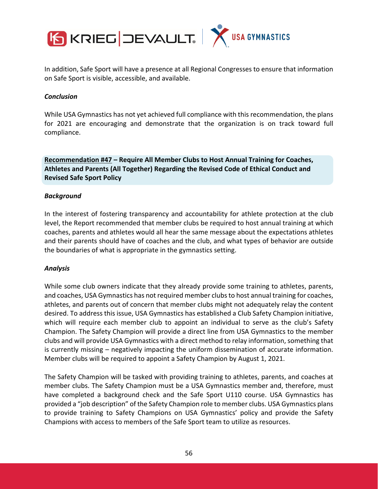

In addition, Safe Sport will have a presence at all Regional Congresses to ensure that information on Safe Sport is visible, accessible, and available.

#### *Conclusion*

While USA Gymnastics has not yet achieved full compliance with thisrecommendation, the plans for 2021 are encouraging and demonstrate that the organization is on track toward full compliance.

**Recommendation #47 – Require All Member Clubs to Host Annual Training for Coaches, Athletes and Parents (All Together) Regarding the Revised Code of Ethical Conduct and Revised Safe Sport Policy**

#### *Background*

In the interest of fostering transparency and accountability for athlete protection at the club level, the Report recommended that member clubs be required to host annual training at which coaches, parents and athletes would all hear the same message about the expectations athletes and their parents should have of coaches and the club, and what types of behavior are outside the boundaries of what is appropriate in the gymnastics setting.

#### *Analysis*

While some club owners indicate that they already provide some training to athletes, parents, and coaches, USA Gymnastics has not required member clubsto host annual training for coaches, athletes, and parents out of concern that member clubs might not adequately relay the content desired. To address this issue, USA Gymnastics has established a Club Safety Champion initiative, which will require each member club to appoint an individual to serve as the club's Safety Champion. The Safety Champion will provide a direct line from USA Gymnastics to the member clubs and will provide USA Gymnastics with a direct method to relay information, something that is currently missing – negatively impacting the uniform dissemination of accurate information. Member clubs will be required to appoint a Safety Champion by August 1, 2021.

The Safety Champion will be tasked with providing training to athletes, parents, and coaches at member clubs. The Safety Champion must be a USA Gymnastics member and, therefore, must have completed a background check and the Safe Sport U110 course. USA Gymnastics has provided a "job description" of the Safety Champion role to member clubs. USA Gymnastics plans to provide training to Safety Champions on USA Gymnastics' policy and provide the Safety Champions with access to members of the Safe Sport team to utilize as resources.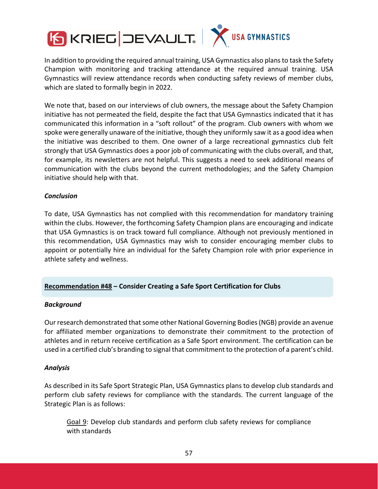

In addition to providing the required annual training, USA Gymnastics also plans to task the Safety Champion with monitoring and tracking attendance at the required annual training. USA Gymnastics will review attendance records when conducting safety reviews of member clubs, which are slated to formally begin in 2022.

We note that, based on our interviews of club owners, the message about the Safety Champion initiative has not permeated the field, despite the fact that USA Gymnastics indicated that it has communicated this information in a "soft rollout" of the program. Club owners with whom we spoke were generally unaware of the initiative, though they uniformly saw it as a good idea when the initiative was described to them. One owner of a large recreational gymnastics club felt strongly that USA Gymnastics does a poor job of communicating with the clubs overall, and that, for example, its newsletters are not helpful. This suggests a need to seek additional means of communication with the clubs beyond the current methodologies; and the Safety Champion initiative should help with that.

#### *Conclusion*

To date, USA Gymnastics has not complied with this recommendation for mandatory training within the clubs. However, the forthcoming Safety Champion plans are encouraging and indicate that USA Gymnastics is on track toward full compliance. Although not previously mentioned in this recommendation, USA Gymnastics may wish to consider encouraging member clubs to appoint or potentially hire an individual for the Safety Champion role with prior experience in athlete safety and wellness.

# **Recommendation #48 – Consider Creating a Safe Sport Certification for Clubs**

#### *Background*

Our research demonstrated that some other National Governing Bodies (NGB) provide an avenue for affiliated member organizations to demonstrate their commitment to the protection of athletes and in return receive certification as a Safe Sport environment. The certification can be used in a certified club's branding to signal that commitment to the protection of a parent's child.

#### *Analysis*

As described in its Safe Sport Strategic Plan, USA Gymnastics plans to develop club standards and perform club safety reviews for compliance with the standards. The current language of the Strategic Plan is as follows:

Goal 9: Develop club standards and perform club safety reviews for compliance with standards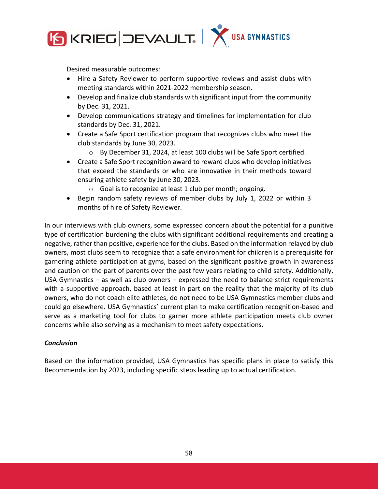

Desired measurable outcomes:

- Hire a Safety Reviewer to perform supportive reviews and assist clubs with meeting standards within 2021‐2022 membership season.
- Develop and finalize club standards with significant input from the community by Dec. 31, 2021.
- Develop communications strategy and timelines for implementation for club standards by Dec. 31, 2021.
- Create a Safe Sport certification program that recognizes clubs who meet the club standards by June 30, 2023.
	- o By December 31, 2024, at least 100 clubs will be Safe Sport certified.
- Create a Safe Sport recognition award to reward clubs who develop initiatives that exceed the standards or who are innovative in their methods toward ensuring athlete safety by June 30, 2023.
	- o Goal is to recognize at least 1 club per month; ongoing.
- Begin random safety reviews of member clubs by July 1, 2022 or within 3 months of hire of Safety Reviewer.

In our interviews with club owners, some expressed concern about the potential for a punitive type of certification burdening the clubs with significant additional requirements and creating a negative, rather than positive, experience for the clubs. Based on the information relayed by club owners, most clubs seem to recognize that a safe environment for children is a prerequisite for garnering athlete participation at gyms, based on the significant positive growth in awareness and caution on the part of parents over the past few years relating to child safety. Additionally, USA Gymnastics – as well as club owners – expressed the need to balance strict requirements with a supportive approach, based at least in part on the reality that the majority of its club owners, who do not coach elite athletes, do not need to be USA Gymnastics member clubs and could go elsewhere. USA Gymnastics' current plan to make certification recognition‐based and serve as a marketing tool for clubs to garner more athlete participation meets club owner concerns while also serving as a mechanism to meet safety expectations.

#### *Conclusion*

Based on the information provided, USA Gymnastics has specific plans in place to satisfy this Recommendation by 2023, including specific steps leading up to actual certification.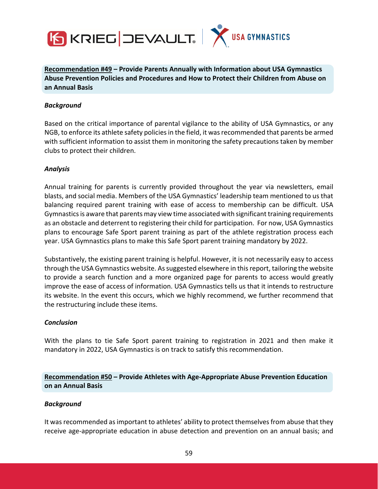



**Recommendation #49 – Provide Parents Annually with Information about USA Gymnastics Abuse Prevention Policies and Procedures and How to Protect their Children from Abuse on an Annual Basis**

#### *Background*

Based on the critical importance of parental vigilance to the ability of USA Gymnastics, or any NGB, to enforce its athlete safety policies in the field, it was recommended that parents be armed with sufficient information to assist them in monitoring the safety precautions taken by member clubs to protect their children.

#### *Analysis*

Annual training for parents is currently provided throughout the year via newsletters, email blasts, and social media. Members of the USA Gymnastics' leadership team mentioned to us that balancing required parent training with ease of access to membership can be difficult. USA Gymnasticsis aware that parents may view time associated with significant training requirements as an obstacle and deterrent to registering their child for participation. For now, USA Gymnastics plans to encourage Safe Sport parent training as part of the athlete registration process each year. USA Gymnastics plans to make this Safe Sport parent training mandatory by 2022.

Substantively, the existing parent training is helpful. However, it is not necessarily easy to access through the USA Gymnastics website. As suggested elsewhere in this report, tailoring the website to provide a search function and a more organized page for parents to access would greatly improve the ease of access of information. USA Gymnastics tells us that it intends to restructure its website. In the event this occurs, which we highly recommend, we further recommend that the restructuring include these items.

#### *Conclusion*

With the plans to tie Safe Sport parent training to registration in 2021 and then make it mandatory in 2022, USA Gymnastics is on track to satisfy this recommendation.

# **Recommendation #50 – Provide Athletes with Age‐Appropriate Abuse Prevention Education on an Annual Basis**

#### *Background*

It was recommended as important to athletes' ability to protect themselves from abuse that they receive age-appropriate education in abuse detection and prevention on an annual basis; and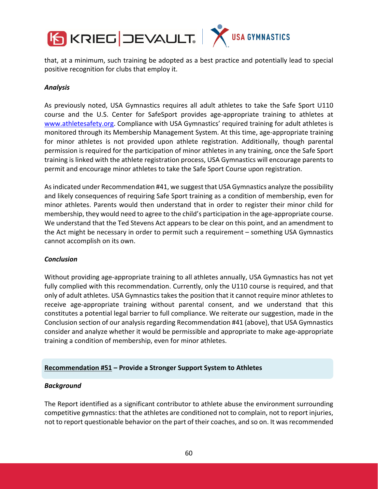

that, at a minimum, such training be adopted as a best practice and potentially lead to special positive recognition for clubs that employ it.

#### *Analysis*

As previously noted, USA Gymnastics requires all adult athletes to take the Safe Sport U110 course and the U.S. Center for SafeSport provides age‐appropriate training to athletes at www.athletesafety.org. Compliance with USA Gymnastics' required training for adult athletes is monitored through its Membership Management System. At this time, age‐appropriate training for minor athletes is not provided upon athlete registration. Additionally, though parental permission is required for the participation of minor athletes in any training, once the Safe Sport training is linked with the athlete registration process, USA Gymnastics will encourage parents to permit and encourage minor athletes to take the Safe Sport Course upon registration.

Asindicated under Recommendation #41, we suggest that USA Gymnastics analyze the possibility and likely consequences of requiring Safe Sport training as a condition of membership, even for minor athletes. Parents would then understand that in order to register their minor child for membership, they would need to agree to the child's participation in the age‐appropriate course. We understand that the Ted Stevens Act appears to be clear on this point, and an amendment to the Act might be necessary in order to permit such a requirement – something USA Gymnastics cannot accomplish on its own.

#### *Conclusion*

Without providing age‐appropriate training to all athletes annually, USA Gymnastics has not yet fully complied with this recommendation. Currently, only the U110 course is required, and that only of adult athletes. USA Gymnastics takes the position that it cannot require minor athletes to receive age‐appropriate training without parental consent, and we understand that this constitutes a potential legal barrier to full compliance. We reiterate our suggestion, made in the Conclusion section of our analysis regarding Recommendation #41 (above), that USA Gymnastics consider and analyze whether it would be permissible and appropriate to make age‐appropriate training a condition of membership, even for minor athletes.

#### **Recommendation #51 – Provide a Stronger Support System to Athletes**

#### *Background*

The Report identified as a significant contributor to athlete abuse the environment surrounding competitive gymnastics: that the athletes are conditioned not to complain, not to report injuries, not to report questionable behavior on the part of their coaches, and so on. It wasrecommended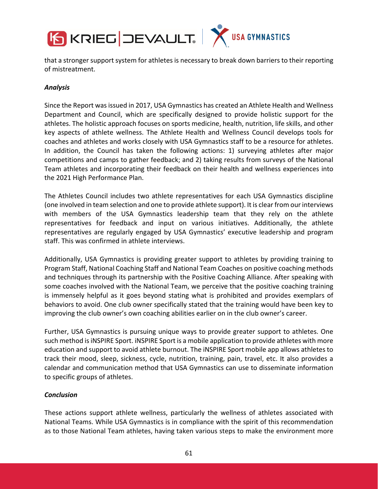

that a stronger support system for athletes is necessary to break down barriers to their reporting of mistreatment.

#### *Analysis*

Since the Report wasissued in 2017, USA Gymnastics has created an Athlete Health and Wellness Department and Council, which are specifically designed to provide holistic support for the athletes. The holistic approach focuses on sports medicine, health, nutrition, life skills, and other key aspects of athlete wellness. The Athlete Health and Wellness Council develops tools for coaches and athletes and works closely with USA Gymnastics staff to be a resource for athletes. In addition, the Council has taken the following actions: 1) surveying athletes after major competitions and camps to gather feedback; and 2) taking results from surveys of the National Team athletes and incorporating their feedback on their health and wellness experiences into the 2021 High Performance Plan.

The Athletes Council includes two athlete representatives for each USA Gymnastics discipline (one involved in team selection and one to provide athlete support). It is clearfrom ourinterviews with members of the USA Gymnastics leadership team that they rely on the athlete representatives for feedback and input on various initiatives. Additionally, the athlete representatives are regularly engaged by USA Gymnastics' executive leadership and program staff. This was confirmed in athlete interviews.

Additionally, USA Gymnastics is providing greater support to athletes by providing training to Program Staff, National Coaching Staff and National Team Coaches on positive coaching methods and techniques through its partnership with the Positive Coaching Alliance. After speaking with some coaches involved with the National Team, we perceive that the positive coaching training is immensely helpful as it goes beyond stating what is prohibited and provides exemplars of behaviors to avoid. One club owner specifically stated that the training would have been key to improving the club owner's own coaching abilities earlier on in the club owner's career.

Further, USA Gymnastics is pursuing unique ways to provide greater support to athletes. One such method isiNSPIRE Sport. iNSPIRE Sport is a mobile application to provide athletes with more education and support to avoid athlete burnout. The iNSPIRE Sport mobile app allows athletes to track their mood, sleep, sickness, cycle, nutrition, training, pain, travel, etc. It also provides a calendar and communication method that USA Gymnastics can use to disseminate information to specific groups of athletes.

#### *Conclusion*

These actions support athlete wellness, particularly the wellness of athletes associated with National Teams. While USA Gymnastics is in compliance with the spirit of this recommendation as to those National Team athletes, having taken various steps to make the environment more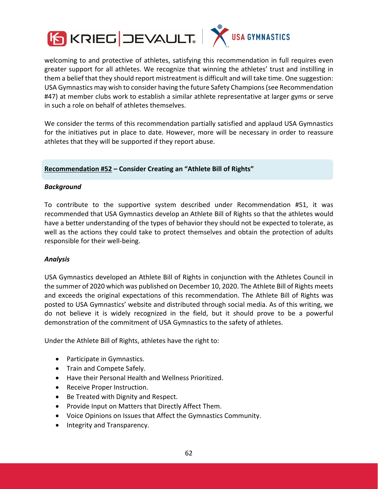

welcoming to and protective of athletes, satisfying this recommendation in full requires even greater support for all athletes. We recognize that winning the athletes' trust and instilling in them a belief that they should report mistreatment is difficult and will take time. One suggestion: USA Gymnastics may wish to consider having the future Safety Champions(see Recommendation #47) at member clubs work to establish a similar athlete representative at larger gyms or serve in such a role on behalf of athletes themselves.

We consider the terms of this recommendation partially satisfied and applaud USA Gymnastics for the initiatives put in place to date. However, more will be necessary in order to reassure athletes that they will be supported if they report abuse.

#### **Recommendation #52 – Consider Creating an "Athlete Bill of Rights"**

#### *Background*

To contribute to the supportive system described under Recommendation #51, it was recommended that USA Gymnastics develop an Athlete Bill of Rights so that the athletes would have a better understanding of the types of behavior they should not be expected to tolerate, as well as the actions they could take to protect themselves and obtain the protection of adults responsible for their well‐being.

#### *Analysis*

USA Gymnastics developed an Athlete Bill of Rights in conjunction with the Athletes Council in the summer of 2020 which was published on December 10, 2020. The Athlete Bill of Rights meets and exceeds the original expectations of this recommendation. The Athlete Bill of Rights was posted to USA Gymnastics' website and distributed through social media. As of this writing, we do not believe it is widely recognized in the field, but it should prove to be a powerful demonstration of the commitment of USA Gymnastics to the safety of athletes.

Under the Athlete Bill of Rights, athletes have the right to:

- Participate in Gymnastics.
- Train and Compete Safely.
- Have their Personal Health and Wellness Prioritized.
- Receive Proper Instruction.
- Be Treated with Dignity and Respect.
- Provide Input on Matters that Directly Affect Them.
- Voice Opinions on Issues that Affect the Gymnastics Community.
- Integrity and Transparency.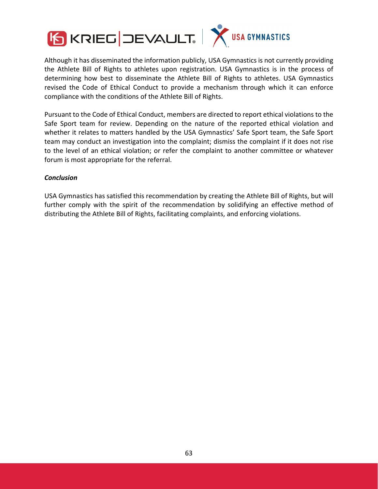

Although it has disseminated the information publicly, USA Gymnastics is not currently providing the Athlete Bill of Rights to athletes upon registration. USA Gymnastics is in the process of determining how best to disseminate the Athlete Bill of Rights to athletes. USA Gymnastics revised the Code of Ethical Conduct to provide a mechanism through which it can enforce compliance with the conditions of the Athlete Bill of Rights.

Pursuant to the Code of Ethical Conduct, members are directed to report ethical violations to the Safe Sport team for review. Depending on the nature of the reported ethical violation and whether it relates to matters handled by the USA Gymnastics' Safe Sport team, the Safe Sport team may conduct an investigation into the complaint; dismiss the complaint if it does not rise to the level of an ethical violation; or refer the complaint to another committee or whatever forum is most appropriate for the referral.

#### *Conclusion*

USA Gymnastics has satisfied this recommendation by creating the Athlete Bill of Rights, but will further comply with the spirit of the recommendation by solidifying an effective method of distributing the Athlete Bill of Rights, facilitating complaints, and enforcing violations.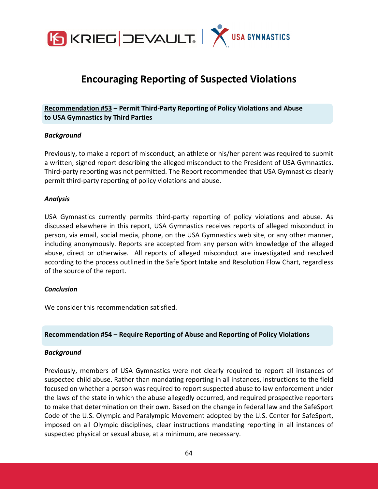

# **Encouraging Reporting of Suspected Violations**

# **Recommendation #53 – Permit Third‐Party Reporting of Policy Violations and Abuse to USA Gymnastics by Third Parties**

#### *Background*

Previously, to make a report of misconduct, an athlete or his/her parent was required to submit a written, signed report describing the alleged misconduct to the President of USA Gymnastics. Third‐party reporting was not permitted. The Report recommended that USA Gymnastics clearly permit third‐party reporting of policy violations and abuse.

#### *Analysis*

USA Gymnastics currently permits third‐party reporting of policy violations and abuse. As discussed elsewhere in this report, USA Gymnastics receives reports of alleged misconduct in person, via email, social media, phone, on the USA Gymnastics web site, or any other manner, including anonymously. Reports are accepted from any person with knowledge of the alleged abuse, direct or otherwise. All reports of alleged misconduct are investigated and resolved according to the process outlined in the Safe Sport Intake and Resolution Flow Chart, regardless of the source of the report.

#### *Conclusion*

We consider this recommendation satisfied.

#### **Recommendation #54 – Require Reporting of Abuse and Reporting of Policy Violations**

#### *Background*

Previously, members of USA Gymnastics were not clearly required to report all instances of suspected child abuse. Rather than mandating reporting in all instances, instructions to the field focused on whether a person was required to report suspected abuse to law enforcement under the laws of the state in which the abuse allegedly occurred, and required prospective reporters to make that determination on their own. Based on the change in federal law and the SafeSport Code of the U.S. Olympic and Paralympic Movement adopted by the U.S. Center for SafeSport, imposed on all Olympic disciplines, clear instructions mandating reporting in all instances of suspected physical or sexual abuse, at a minimum, are necessary.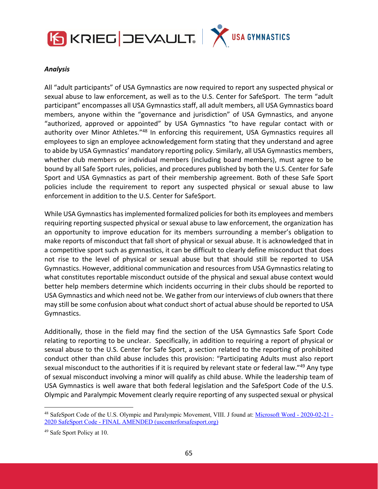



#### *Analysis*

All "adult participants" of USA Gymnastics are now required to report any suspected physical or sexual abuse to law enforcement, as well as to the U.S. Center for SafeSport. The term "adult participant" encompasses all USA Gymnastics staff, all adult members, all USA Gymnastics board members, anyone within the "governance and jurisdiction" of USA Gymnastics, and anyone "authorized, approved or appointed" by USA Gymnastics "to have regular contact with or authority over Minor Athletes."48 In enforcing this requirement, USA Gymnastics requires all employees to sign an employee acknowledgement form stating that they understand and agree to abide by USA Gymnastics' mandatory reporting policy. Similarly, all USA Gymnastics members, whether club members or individual members (including board members), must agree to be bound by all Safe Sport rules, policies, and procedures published by both the U.S. Center for Safe Sport and USA Gymnastics as part of their membership agreement. Both of these Safe Sport policies include the requirement to report any suspected physical or sexual abuse to law enforcement in addition to the U.S. Center for SafeSport.

While USA Gymnastics has implemented formalized policies for both its employees and members requiring reporting suspected physical or sexual abuse to law enforcement, the organization has an opportunity to improve education for its members surrounding a member's obligation to make reports of misconduct that fall short of physical or sexual abuse. It is acknowledged that in a competitive sport such as gymnastics, it can be difficult to clearly define misconduct that does not rise to the level of physical or sexual abuse but that should still be reported to USA Gymnastics. However, additional communication and resourcesfrom USA Gymnasticsrelating to what constitutes reportable misconduct outside of the physical and sexual abuse context would better help members determine which incidents occurring in their clubs should be reported to USA Gymnastics and which need not be. We gather from our interviews of club ownersthat there may still be some confusion about what conduct short of actual abuse should be reported to USA Gymnastics.

Additionally, those in the field may find the section of the USA Gymnastics Safe Sport Code relating to reporting to be unclear. Specifically, in addition to requiring a report of physical or sexual abuse to the U.S. Center for Safe Sport, a section related to the reporting of prohibited conduct other than child abuse includes this provision: "Participating Adults must also report sexual misconduct to the authorities if it is required by relevant state or federal law."<sup>49</sup> Any type of sexual misconduct involving a minor will qualify as child abuse. While the leadership team of USA Gymnastics is well aware that both federal legislation and the SafeSport Code of the U.S. Olympic and Paralympic Movement clearly require reporting of any suspected sexual or physical

<sup>&</sup>lt;sup>48</sup> SafeSport Code of the U.S. Olympic and Paralympic Movement, VIII. J found at: Microsoft Word - 2020-02-21 -2020 SafeSport Code - FINAL AMENDED (uscenterforsafesport.org)

<sup>49</sup> Safe Sport Policy at 10.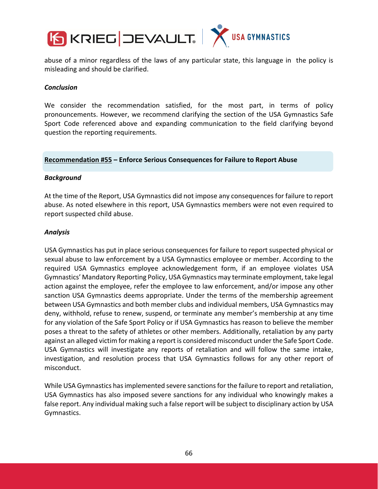

abuse of a minor regardless of the laws of any particular state, this language in the policy is misleading and should be clarified.

#### *Conclusion*

We consider the recommendation satisfied, for the most part, in terms of policy pronouncements. However, we recommend clarifying the section of the USA Gymnastics Safe Sport Code referenced above and expanding communication to the field clarifying beyond question the reporting requirements.

#### **Recommendation #55 – Enforce Serious Consequences for Failure to Report Abuse**

#### *Background*

At the time of the Report, USA Gymnastics did not impose any consequences for failure to report abuse. As noted elsewhere in this report, USA Gymnastics members were not even required to report suspected child abuse.

#### *Analysis*

USA Gymnastics has put in place serious consequences for failure to report suspected physical or sexual abuse to law enforcement by a USA Gymnastics employee or member. According to the required USA Gymnastics employee acknowledgement form, if an employee violates USA Gymnastics' Mandatory Reporting Policy, USA Gymnastics may terminate employment, take legal action against the employee, refer the employee to law enforcement, and/or impose any other sanction USA Gymnastics deems appropriate. Under the terms of the membership agreement between USA Gymnastics and both member clubs and individual members, USA Gymnastics may deny, withhold, refuse to renew, suspend, or terminate any member's membership at any time for any violation of the Safe Sport Policy or if USA Gymnastics has reason to believe the member poses a threat to the safety of athletes or other members. Additionally, retaliation by any party against an alleged victim for making a report is considered misconduct under the Safe Sport Code. USA Gymnastics will investigate any reports of retaliation and will follow the same intake, investigation, and resolution process that USA Gymnastics follows for any other report of misconduct.

While USA Gymnastics has implemented severe sanctions for the failure to report and retaliation, USA Gymnastics has also imposed severe sanctions for any individual who knowingly makes a false report. Any individual making such a false report will be subject to disciplinary action by USA Gymnastics.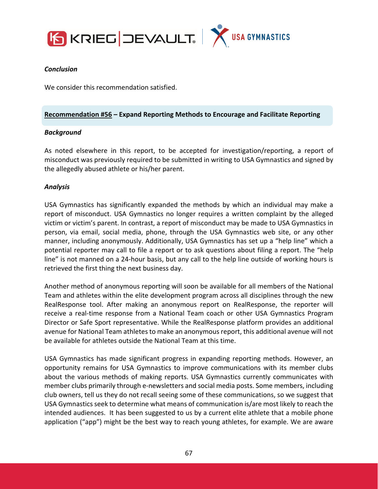



#### *Conclusion*

We consider this recommendation satisfied.

#### **Recommendation #56 – Expand Reporting Methods to Encourage and Facilitate Reporting**

#### *Background*

As noted elsewhere in this report, to be accepted for investigation/reporting, a report of misconduct was previously required to be submitted in writing to USA Gymnastics and signed by the allegedly abused athlete or his/her parent.

#### *Analysis*

USA Gymnastics has significantly expanded the methods by which an individual may make a report of misconduct. USA Gymnastics no longer requires a written complaint by the alleged victim or victim's parent. In contrast, a report of misconduct may be made to USA Gymnastics in person, via email, social media, phone, through the USA Gymnastics web site, or any other manner, including anonymously. Additionally, USA Gymnastics has set up a "help line" which a potential reporter may call to file a report or to ask questions about filing a report. The "help line" is not manned on a 24‐hour basis, but any call to the help line outside of working hours is retrieved the first thing the next business day.

Another method of anonymous reporting will soon be available for all members of the National Team and athletes within the elite development program across all disciplines through the new RealResponse tool. After making an anonymous report on RealResponse, the reporter will receive a real‐time response from a National Team coach or other USA Gymnastics Program Director or Safe Sport representative. While the RealResponse platform provides an additional avenue for National Team athletes to make an anonymous report, this additional avenue will not be available for athletes outside the National Team at this time.

USA Gymnastics has made significant progress in expanding reporting methods. However, an opportunity remains for USA Gymnastics to improve communications with its member clubs about the various methods of making reports. USA Gymnastics currently communicates with member clubs primarily through e‐newsletters and social media posts. Some members, including club owners, tell us they do not recall seeing some of these communications, so we suggest that USA Gymnastics seek to determine what means of communication is/are most likely to reach the intended audiences. It has been suggested to us by a current elite athlete that a mobile phone application ("app") might be the best way to reach young athletes, for example. We are aware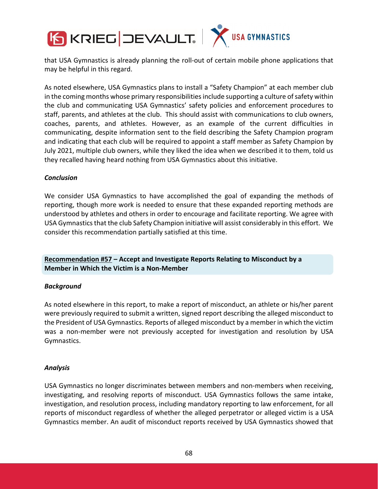

that USA Gymnastics is already planning the roll‐out of certain mobile phone applications that may be helpful in this regard.

As noted elsewhere, USA Gymnastics plans to install a "Safety Champion" at each member club in the coming months whose primary responsibilities include supporting a culture of safety within the club and communicating USA Gymnastics' safety policies and enforcement procedures to staff, parents, and athletes at the club. This should assist with communications to club owners, coaches, parents, and athletes. However, as an example of the current difficulties in communicating, despite information sent to the field describing the Safety Champion program and indicating that each club will be required to appoint a staff member as Safety Champion by July 2021, multiple club owners, while they liked the idea when we described it to them, told us they recalled having heard nothing from USA Gymnastics about this initiative.

#### *Conclusion*

We consider USA Gymnastics to have accomplished the goal of expanding the methods of reporting, though more work is needed to ensure that these expanded reporting methods are understood by athletes and others in order to encourage and facilitate reporting. We agree with USA Gymnastics that the club Safety Champion initiative will assist considerably in this effort. We consider this recommendation partially satisfied at this time.

**Recommendation #57 – Accept and Investigate Reports Relating to Misconduct by a Member in Which the Victim is a Non‐Member**

#### *Background*

As noted elsewhere in this report, to make a report of misconduct, an athlete or his/her parent were previously required to submit a written, signed report describing the alleged misconduct to the President of USA Gymnastics. Reports of alleged misconduct by a member in which the victim was a non-member were not previously accepted for investigation and resolution by USA Gymnastics.

#### *Analysis*

USA Gymnastics no longer discriminates between members and non‐members when receiving, investigating, and resolving reports of misconduct. USA Gymnastics follows the same intake, investigation, and resolution process, including mandatory reporting to law enforcement, for all reports of misconduct regardless of whether the alleged perpetrator or alleged victim is a USA Gymnastics member. An audit of misconduct reports received by USA Gymnastics showed that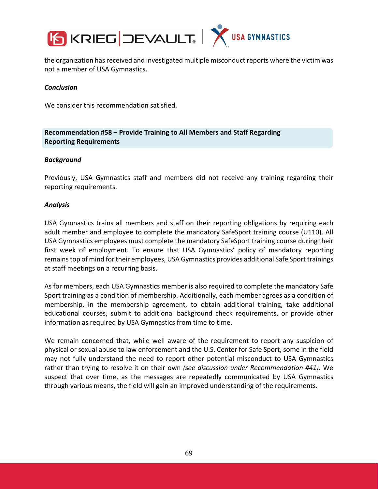



the organization has received and investigated multiple misconduct reports where the victim was not a member of USA Gymnastics.

#### *Conclusion*

We consider this recommendation satisfied.

**Recommendation #58 – Provide Training to All Members and Staff Regarding Reporting Requirements**

#### *Background*

Previously, USA Gymnastics staff and members did not receive any training regarding their reporting requirements.

#### *Analysis*

USA Gymnastics trains all members and staff on their reporting obligations by requiring each adult member and employee to complete the mandatory SafeSport training course (U110). All USA Gymnastics employees must complete the mandatory SafeSport training course during their first week of employment. To ensure that USA Gymnastics' policy of mandatory reporting remainstop of mind for their employees, USA Gymnastics provides additional Safe Sport trainings at staff meetings on a recurring basis.

As for members, each USA Gymnastics member is also required to complete the mandatory Safe Sport training as a condition of membership. Additionally, each member agrees as a condition of membership, in the membership agreement, to obtain additional training, take additional educational courses, submit to additional background check requirements, or provide other information as required by USA Gymnastics from time to time.

We remain concerned that, while well aware of the requirement to report any suspicion of physical or sexual abuse to law enforcement and the U.S. Center for Safe Sport, some in the field may not fully understand the need to report other potential misconduct to USA Gymnastics rather than trying to resolve it on their own *(see discussion under Recommendation #41)*. We suspect that over time, as the messages are repeatedly communicated by USA Gymnastics through various means, the field will gain an improved understanding of the requirements.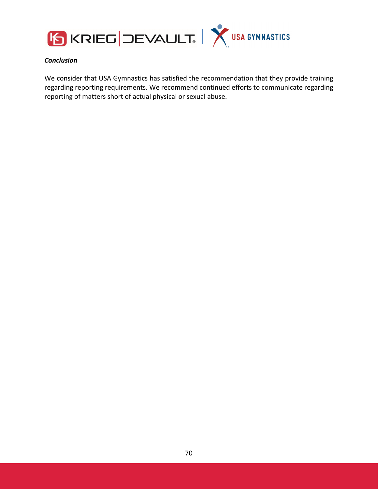



### *Conclusion*

We consider that USA Gymnastics has satisfied the recommendation that they provide training regarding reporting requirements. We recommend continued efforts to communicate regarding reporting of matters short of actual physical or sexual abuse.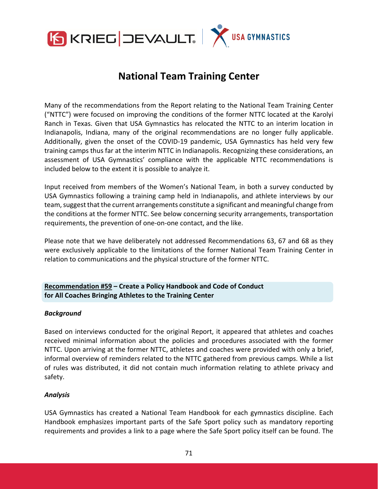

# **National Team Training Center**

Many of the recommendations from the Report relating to the National Team Training Center ("NTTC") were focused on improving the conditions of the former NTTC located at the Karolyi Ranch in Texas. Given that USA Gymnastics has relocated the NTTC to an interim location in Indianapolis, Indiana, many of the original recommendations are no longer fully applicable. Additionally, given the onset of the COVID‐19 pandemic, USA Gymnastics has held very few training camps thus far at the interim NTTC in Indianapolis. Recognizing these considerations, an assessment of USA Gymnastics' compliance with the applicable NTTC recommendations is included below to the extent it is possible to analyze it.

Input received from members of the Women's National Team, in both a survey conducted by USA Gymnastics following a training camp held in Indianapolis, and athlete interviews by our team,suggest that the current arrangements constitute a significant and meaningful change from the conditions at the former NTTC. See below concerning security arrangements, transportation requirements, the prevention of one‐on‐one contact, and the like.

Please note that we have deliberately not addressed Recommendations 63, 67 and 68 as they were exclusively applicable to the limitations of the former National Team Training Center in relation to communications and the physical structure of the former NTTC.

# **Recommendation #59 – Create a Policy Handbook and Code of Conduct for All Coaches Bringing Athletes to the Training Center**

#### *Background*

Based on interviews conducted for the original Report, it appeared that athletes and coaches received minimal information about the policies and procedures associated with the former NTTC. Upon arriving at the former NTTC, athletes and coaches were provided with only a brief, informal overview of reminders related to the NTTC gathered from previous camps. While a list of rules was distributed, it did not contain much information relating to athlete privacy and safety.

#### *Analysis*

USA Gymnastics has created a National Team Handbook for each gymnastics discipline. Each Handbook emphasizes important parts of the Safe Sport policy such as mandatory reporting requirements and provides a link to a page where the Safe Sport policy itself can be found. The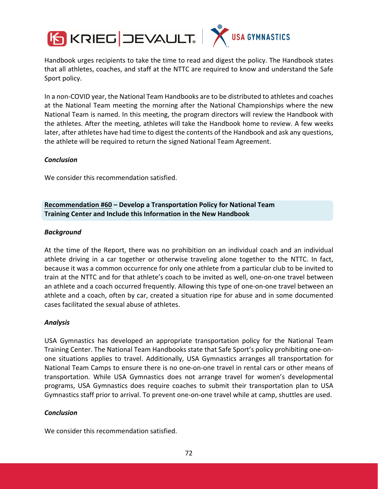

Handbook urges recipients to take the time to read and digest the policy. The Handbook states that all athletes, coaches, and staff at the NTTC are required to know and understand the Safe Sport policy.

In a non‐COVID year, the National Team Handbooks are to be distributed to athletes and coaches at the National Team meeting the morning after the National Championships where the new National Team is named. In this meeting, the program directors will review the Handbook with the athletes. After the meeting, athletes will take the Handbook home to review. A few weeks later, after athletes have had time to digest the contents of the Handbook and ask any questions, the athlete will be required to return the signed National Team Agreement.

#### *Conclusion*

We consider this recommendation satisfied.

**Recommendation #60 – Develop a Transportation Policy for National Team Training Center and Include this Information in the New Handbook**

#### *Background*

At the time of the Report, there was no prohibition on an individual coach and an individual athlete driving in a car together or otherwise traveling alone together to the NTTC. In fact, because it was a common occurrence for only one athlete from a particular club to be invited to train at the NTTC and for that athlete's coach to be invited as well, one‐on‐one travel between an athlete and a coach occurred frequently. Allowing this type of one‐on‐one travel between an athlete and a coach, often by car, created a situation ripe for abuse and in some documented cases facilitated the sexual abuse of athletes.

#### *Analysis*

USA Gymnastics has developed an appropriate transportation policy for the National Team Training Center. The National Team Handbooks state that Safe Sport's policy prohibiting one‐on‐ one situations applies to travel. Additionally, USA Gymnastics arranges all transportation for National Team Camps to ensure there is no one‐on‐one travel in rental cars or other means of transportation. While USA Gymnastics does not arrange travel for women's developmental programs, USA Gymnastics does require coaches to submit their transportation plan to USA Gymnastics staff prior to arrival. To prevent one‐on‐one travel while at camp, shuttles are used.

## *Conclusion*

We consider this recommendation satisfied.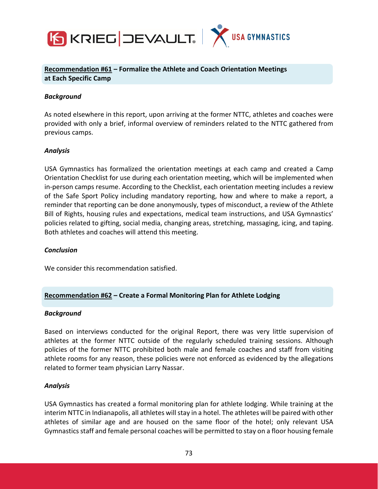

**Recommendation #61 – Formalize the Athlete and Coach Orientation Meetings at Each Specific Camp**

#### *Background*

As noted elsewhere in this report, upon arriving at the former NTTC, athletes and coaches were provided with only a brief, informal overview of reminders related to the NTTC gathered from previous camps.

#### *Analysis*

USA Gymnastics has formalized the orientation meetings at each camp and created a Camp Orientation Checklist for use during each orientation meeting, which will be implemented when in-person camps resume. According to the Checklist, each orientation meeting includes a review of the Safe Sport Policy including mandatory reporting, how and where to make a report, a reminder that reporting can be done anonymously, types of misconduct, a review of the Athlete Bill of Rights, housing rules and expectations, medical team instructions, and USA Gymnastics' policies related to gifting, social media, changing areas, stretching, massaging, icing, and taping. Both athletes and coaches will attend this meeting.

#### *Conclusion*

We consider this recommendation satisfied.

## **Recommendation #62 – Create a Formal Monitoring Plan for Athlete Lodging**

#### *Background*

Based on interviews conducted for the original Report, there was very little supervision of athletes at the former NTTC outside of the regularly scheduled training sessions. Although policies of the former NTTC prohibited both male and female coaches and staff from visiting athlete rooms for any reason, these policies were not enforced as evidenced by the allegations related to former team physician Larry Nassar.

#### *Analysis*

USA Gymnastics has created a formal monitoring plan for athlete lodging. While training at the interim NTTC in Indianapolis, all athletes will stay in a hotel. The athletes will be paired with other athletes of similar age and are housed on the same floor of the hotel; only relevant USA Gymnastics staff and female personal coaches will be permitted to stay on a floor housing female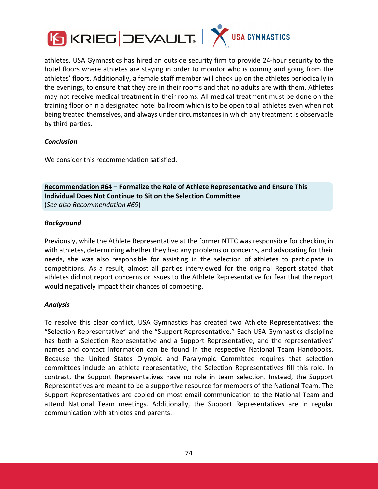



athletes. USA Gymnastics has hired an outside security firm to provide 24‐hour security to the hotel floors where athletes are staying in order to monitor who is coming and going from the athletes' floors. Additionally, a female staff member will check up on the athletes periodically in the evenings, to ensure that they are in their rooms and that no adults are with them. Athletes may not receive medical treatment in their rooms. All medical treatment must be done on the training floor or in a designated hotel ballroom which is to be open to all athletes even when not being treated themselves, and always under circumstances in which any treatment is observable by third parties.

## *Conclusion*

We consider this recommendation satisfied.

**Recommendation #64 – Formalize the Role of Athlete Representative and Ensure This Individual Does Not Continue to Sit on the Selection Committee**  (*See also Recommendation #69*)

## *Background*

Previously, while the Athlete Representative at the former NTTC was responsible for checking in with athletes, determining whether they had any problems or concerns, and advocating for their needs, she was also responsible for assisting in the selection of athletes to participate in competitions. As a result, almost all parties interviewed for the original Report stated that athletes did not report concerns or issues to the Athlete Representative for fear that the report would negatively impact their chances of competing.

## *Analysis*

To resolve this clear conflict, USA Gymnastics has created two Athlete Representatives: the "Selection Representative" and the "Support Representative." Each USA Gymnastics discipline has both a Selection Representative and a Support Representative, and the representatives' names and contact information can be found in the respective National Team Handbooks. Because the United States Olympic and Paralympic Committee requires that selection committees include an athlete representative, the Selection Representatives fill this role. In contrast, the Support Representatives have no role in team selection. Instead, the Support Representatives are meant to be a supportive resource for members of the National Team. The Support Representatives are copied on most email communication to the National Team and attend National Team meetings. Additionally, the Support Representatives are in regular communication with athletes and parents.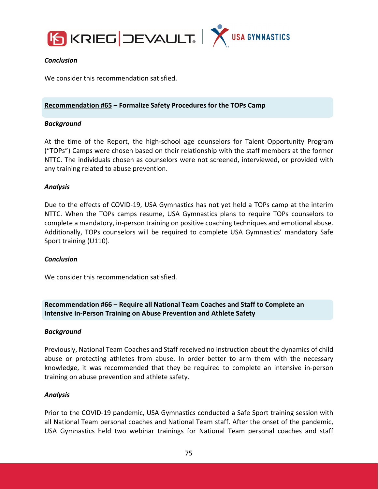



## *Conclusion*

We consider this recommendation satisfied.

# **Recommendation #65 – Formalize Safety Procedures for the TOPs Camp**

## *Background*

At the time of the Report, the high‐school age counselors for Talent Opportunity Program ("TOPs") Camps were chosen based on their relationship with the staff members at the former NTTC. The individuals chosen as counselors were not screened, interviewed, or provided with any training related to abuse prevention.

## *Analysis*

Due to the effects of COVID‐19, USA Gymnastics has not yet held a TOPs camp at the interim NTTC. When the TOPs camps resume, USA Gymnastics plans to require TOPs counselors to complete a mandatory, in‐person training on positive coaching techniques and emotional abuse. Additionally, TOPs counselors will be required to complete USA Gymnastics' mandatory Safe Sport training (U110).

## *Conclusion*

We consider this recommendation satisfied.

**Recommendation #66 – Require all National Team Coaches and Staff to Complete an Intensive In‐Person Training on Abuse Prevention and Athlete Safety**

## *Background*

Previously, National Team Coaches and Staff received no instruction about the dynamics of child abuse or protecting athletes from abuse. In order better to arm them with the necessary knowledge, it was recommended that they be required to complete an intensive in‐person training on abuse prevention and athlete safety.

#### *Analysis*

Prior to the COVID‐19 pandemic, USA Gymnastics conducted a Safe Sport training session with all National Team personal coaches and National Team staff. After the onset of the pandemic, USA Gymnastics held two webinar trainings for National Team personal coaches and staff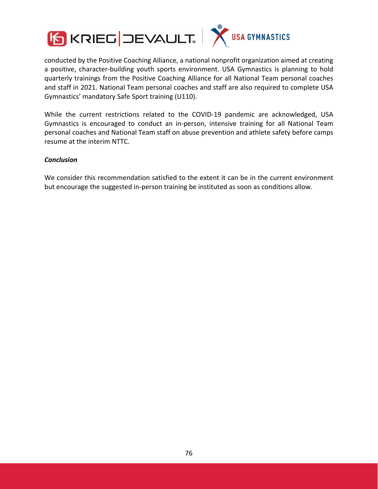

conducted by the Positive Coaching Alliance, a national nonprofit organization aimed at creating a positive, character‐building youth sports environment. USA Gymnastics is planning to hold quarterly trainings from the Positive Coaching Alliance for all National Team personal coaches and staff in 2021. National Team personal coaches and staff are also required to complete USA Gymnastics' mandatory Safe Sport training (U110).

While the current restrictions related to the COVID-19 pandemic are acknowledged, USA Gymnastics is encouraged to conduct an in‐person, intensive training for all National Team personal coaches and National Team staff on abuse prevention and athlete safety before camps resume at the interim NTTC.

## *Conclusion*

We consider this recommendation satisfied to the extent it can be in the current environment but encourage the suggested in‐person training be instituted as soon as conditions allow.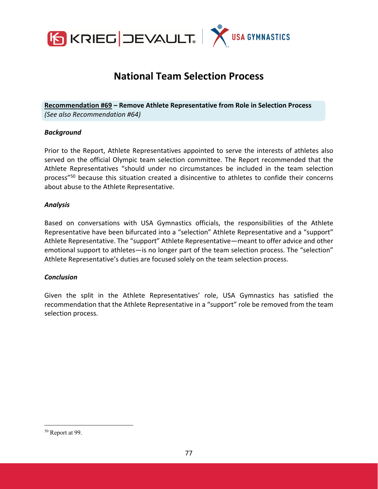

# **National Team Selection Process**

**Recommendation #69 – Remove Athlete Representative from Role in Selection Process** *(See also Recommendation #64)*

#### *Background*

Prior to the Report, Athlete Representatives appointed to serve the interests of athletes also served on the official Olympic team selection committee. The Report recommended that the Athlete Representatives "should under no circumstances be included in the team selection process"50 because this situation created a disincentive to athletes to confide their concerns about abuse to the Athlete Representative.

#### *Analysis*

Based on conversations with USA Gymnastics officials, the responsibilities of the Athlete Representative have been bifurcated into a "selection" Athlete Representative and a "support" Athlete Representative. The "support" Athlete Representative—meant to offer advice and other emotional support to athletes—is no longer part of the team selection process. The "selection" Athlete Representative's duties are focused solely on the team selection process.

#### *Conclusion*

Given the split in the Athlete Representatives' role, USA Gymnastics has satisfied the recommendation that the Athlete Representative in a "support" role be removed from the team selection process.

<sup>50</sup> Report at 99.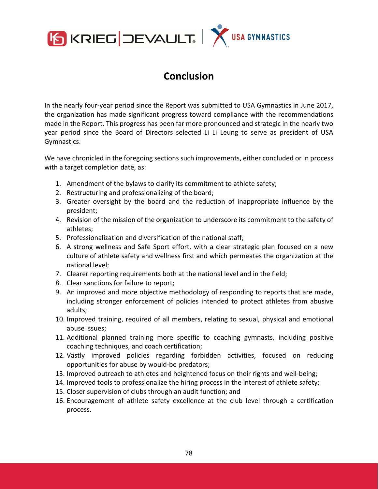

# **Conclusion**

In the nearly four‐year period since the Report was submitted to USA Gymnastics in June 2017, the organization has made significant progress toward compliance with the recommendations made in the Report. This progress has been far more pronounced and strategic in the nearly two year period since the Board of Directors selected Li Li Leung to serve as president of USA Gymnastics.

We have chronicled in the foregoing sections such improvements, either concluded or in process with a target completion date, as:

- 1. Amendment of the bylaws to clarify its commitment to athlete safety;
- 2. Restructuring and professionalizing of the board;
- 3. Greater oversight by the board and the reduction of inappropriate influence by the president;
- 4. Revision of the mission of the organization to underscore its commitment to the safety of athletes;
- 5. Professionalization and diversification of the national staff;
- 6. A strong wellness and Safe Sport effort, with a clear strategic plan focused on a new culture of athlete safety and wellness first and which permeates the organization at the national level;
- 7. Clearer reporting requirements both at the national level and in the field;
- 8. Clear sanctions for failure to report;
- 9. An improved and more objective methodology of responding to reports that are made, including stronger enforcement of policies intended to protect athletes from abusive adults;
- 10. Improved training, required of all members, relating to sexual, physical and emotional abuse issues;
- 11. Additional planned training more specific to coaching gymnasts, including positive coaching techniques, and coach certification;
- 12. Vastly improved policies regarding forbidden activities, focused on reducing opportunities for abuse by would‐be predators;
- 13. Improved outreach to athletes and heightened focus on their rights and well-being;
- 14. Improved tools to professionalize the hiring process in the interest of athlete safety;
- 15. Closer supervision of clubs through an audit function; and
- 16. Encouragement of athlete safety excellence at the club level through a certification process.